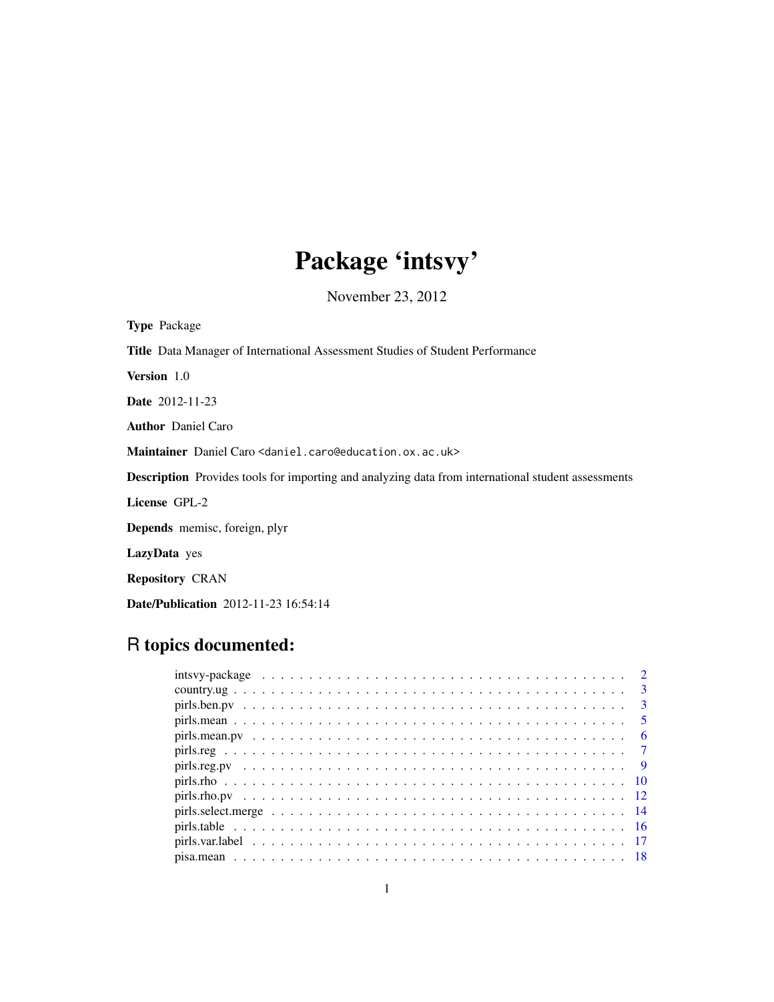## Package 'intsvy'

November 23, 2012

Type Package Title Data Manager of International Assessment Studies of Student Performance Version 1.0 Date 2012-11-23 Author Daniel Caro Maintainer Daniel Caro <daniel.caro@education.ox.ac.uk> Description Provides tools for importing and analyzing data from international student assessments License GPL-2 Depends memisc, foreign, plyr LazyData yes Repository CRAN Date/Publication 2012-11-23 16:54:14

## R topics documented: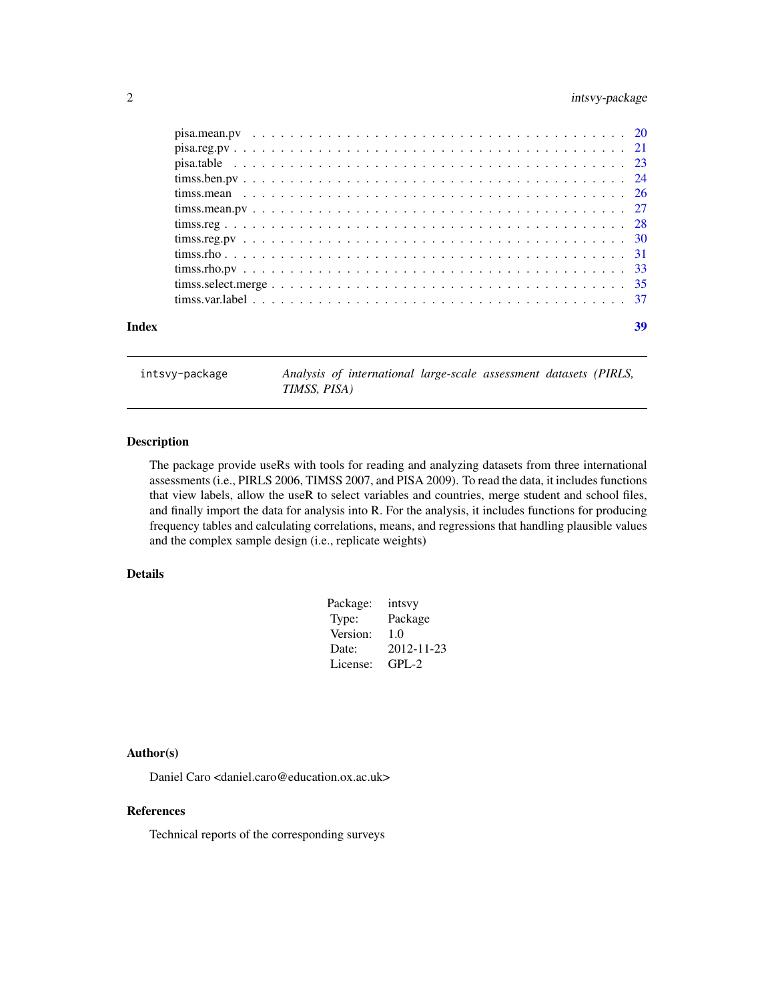## <span id="page-1-0"></span>2 intsvy-package

| Index | 39 |
|-------|----|
|       |    |
|       |    |
|       |    |
|       |    |
|       |    |
|       |    |
|       |    |
|       |    |
|       |    |
|       |    |
|       |    |
|       |    |

intsvy-package *Analysis of international large-scale assessment datasets (PIRLS, TIMSS, PISA)*

## Description

The package provide useRs with tools for reading and analyzing datasets from three international assessments (i.e., PIRLS 2006, TIMSS 2007, and PISA 2009). To read the data, it includes functions that view labels, allow the useR to select variables and countries, merge student and school files, and finally import the data for analysis into R. For the analysis, it includes functions for producing frequency tables and calculating correlations, means, and regressions that handling plausible values and the complex sample design (i.e., replicate weights)

## Details

| Package: | intsvy     |
|----------|------------|
| Type:    | Package    |
| Version: | 1.0        |
| Date:    | 2012-11-23 |
| License: | $GPI - 2$  |

## Author(s)

Daniel Caro <daniel.caro@education.ox.ac.uk>

## References

Technical reports of the corresponding surveys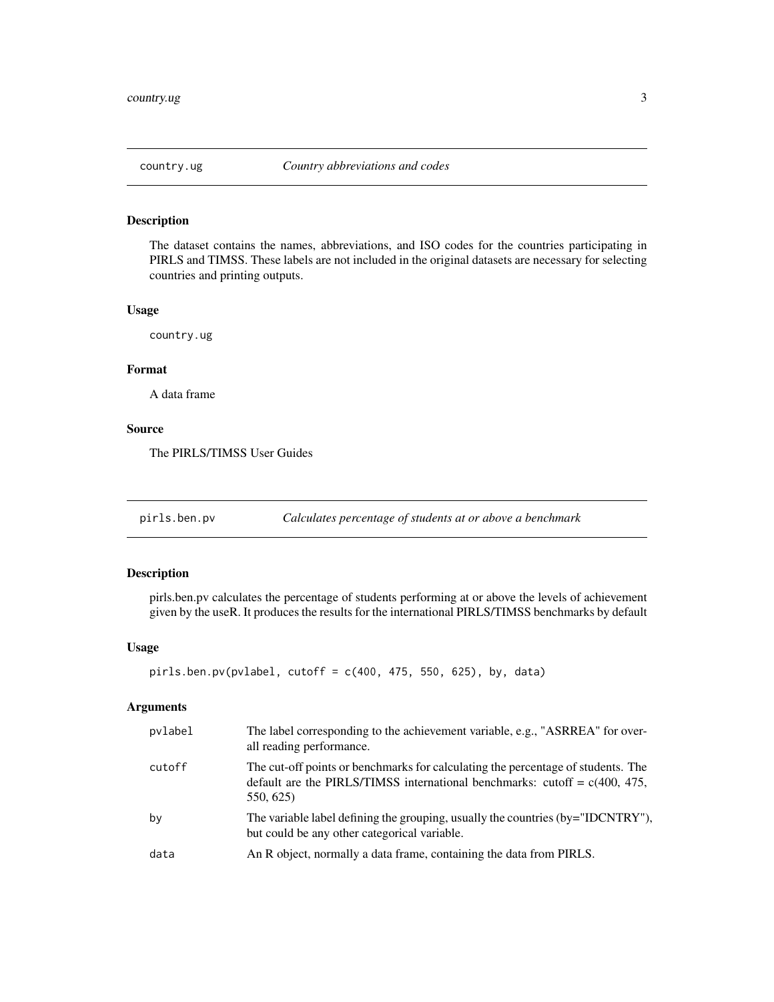<span id="page-2-0"></span>

## Description

The dataset contains the names, abbreviations, and ISO codes for the countries participating in PIRLS and TIMSS. These labels are not included in the original datasets are necessary for selecting countries and printing outputs.

#### Usage

country.ug

## Format

A data frame

## Source

The PIRLS/TIMSS User Guides

pirls.ben.pv *Calculates percentage of students at or above a benchmark*

## Description

pirls.ben.pv calculates the percentage of students performing at or above the levels of achievement given by the useR. It produces the results for the international PIRLS/TIMSS benchmarks by default

## Usage

```
pirls.ben.py(pvlabel, cutoff = c(400, 475, 550, 625), by, data)
```
## Arguments

| pvlabel | The label corresponding to the achievement variable, e.g., "ASRREA" for over-<br>all reading performance.                                                                     |
|---------|-------------------------------------------------------------------------------------------------------------------------------------------------------------------------------|
| cutoff  | The cut-off points or benchmarks for calculating the percentage of students. The<br>default are the PIRLS/TIMSS international benchmarks: cutoff = $c(400, 475,$<br>550, 625) |
| by      | The variable label defining the grouping, usually the countries (by="IDCNTRY"),<br>but could be any other categorical variable.                                               |
| data    | An R object, normally a data frame, containing the data from PIRLS.                                                                                                           |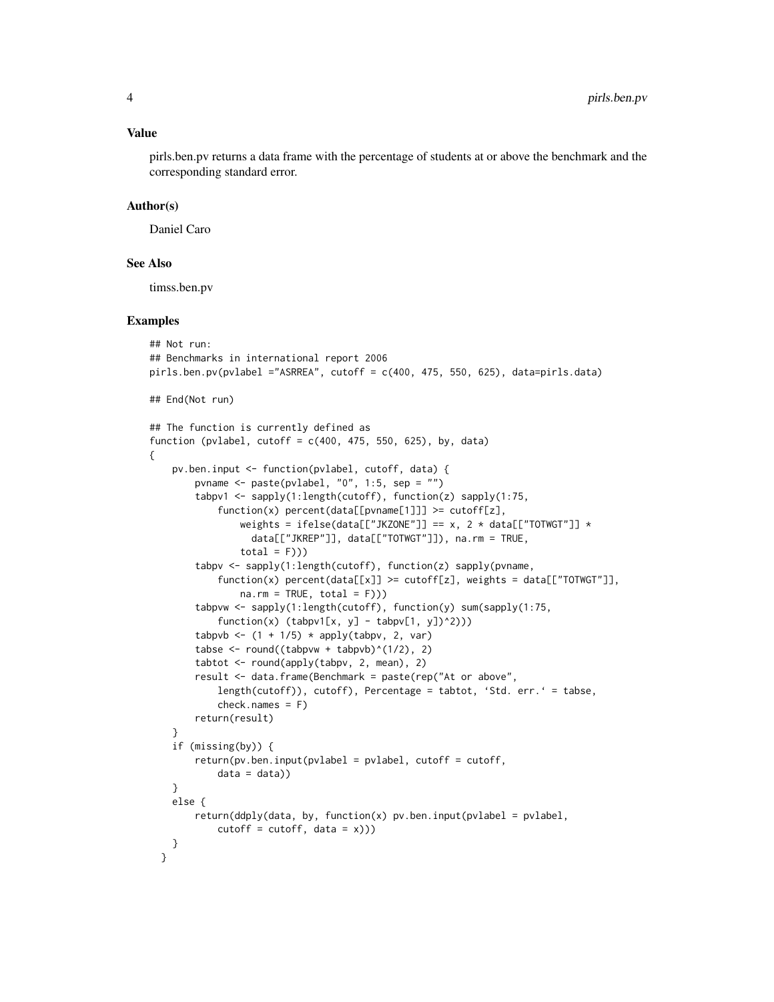Value

pirls.ben.pv returns a data frame with the percentage of students at or above the benchmark and the corresponding standard error.

## Author(s)

Daniel Caro

#### See Also

timss.ben.pv

```
## Not run:
## Benchmarks in international report 2006
pirls.ben.pv(pvlabel ="ASRREA", cutoff = c(400, 475, 550, 625), data=pirls.data)
## End(Not run)
## The function is currently defined as
function (pvlabel, cutoff = c(400, 475, 550, 625), by, data)
{
    pv.ben.input <- function(pvlabel, cutoff, data) {
       pvname <- paste(pvlabel, "0", 1:5, sep = "")
        tabpv1 <- sapply(1:length(cutoff), function(z) sapply(1:75,
            function(x) percent(data[[pvname[1]]] >= cutoff[z],
                weights = ifelse(data[["JKZONE"]] == x, 2 * data[["TOTWGT"]] *
                  data[["JKREP"]], data[["TOTWGT"]]), na.rm = TRUE,
                total = F))tabpv <- sapply(1:length(cutoff), function(z) sapply(pvname,
            function(x) percent(data[[x]] >= cutoff[z], weights = data[["TOTWGT"]],
                na.rm = TRUE, total = F))tabpvw <- sapply(1:length(cutoff), function(y) sum(sapply(1:75,
            function(x) (tabpv1[x, y] - tabpv[1, y])^2)))
        tabpvb <- (1 + 1/5) * apply(tabpv, 2, var)
        tabse <- round((tabpvw + tabpvb)^(1/2), 2)
       tabtot <- round(apply(tabpv, 2, mean), 2)
       result <- data.frame(Benchmark = paste(rep("At or above",
            length(cutoff)), cutoff), Percentage = tabtot, 'Std. err.' = tabse,
            check.names = F)
       return(result)
    }
    if (missing(by)) {
       return(pv.ben.input(pvlabel = pvlabel, cutoff = cutoff,
            data = data)}
   else {
       return(ddply(data, by, function(x) pv.ben.input(pvlabel = pvlabel,
            cutoff = cutoff, data = x)))}
 }
```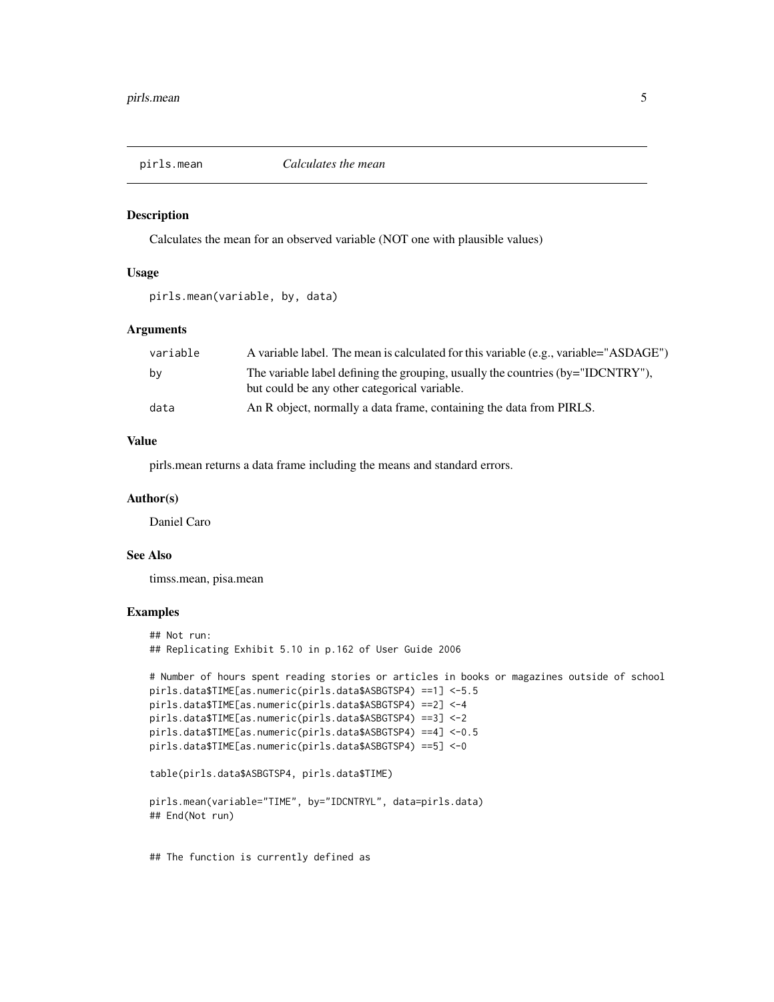<span id="page-4-0"></span>

## Description

Calculates the mean for an observed variable (NOT one with plausible values)

## Usage

```
pirls.mean(variable, by, data)
```
## Arguments

| variable | A variable label. The mean is calculated for this variable (e.g., variable="ASDAGE")                                            |
|----------|---------------------------------------------------------------------------------------------------------------------------------|
| by       | The variable label defining the grouping, usually the countries (by="IDCNTRY"),<br>but could be any other categorical variable. |
| data     | An R object, normally a data frame, containing the data from PIRLS.                                                             |

## Value

pirls.mean returns a data frame including the means and standard errors.

#### Author(s)

Daniel Caro

## See Also

timss.mean, pisa.mean

## Examples

```
## Not run:
## Replicating Exhibit 5.10 in p.162 of User Guide 2006
# Number of hours spent reading stories or articles in books or magazines outside of school
pirls.data$TIME[as.numeric(pirls.data$ASBGTSP4) ==1] <-5.5
pirls.data$TIME[as.numeric(pirls.data$ASBGTSP4) ==2] <-4
pirls.data$TIME[as.numeric(pirls.data$ASBGTSP4) ==3] <-2
pirls.data$TIME[as.numeric(pirls.data$ASBGTSP4) ==4] <-0.5
pirls.data$TIME[as.numeric(pirls.data$ASBGTSP4) ==5] <-0
table(pirls.data$ASBGTSP4, pirls.data$TIME)
pirls.mean(variable="TIME", by="IDCNTRYL", data=pirls.data)
## End(Not run)
```
## The function is currently defined as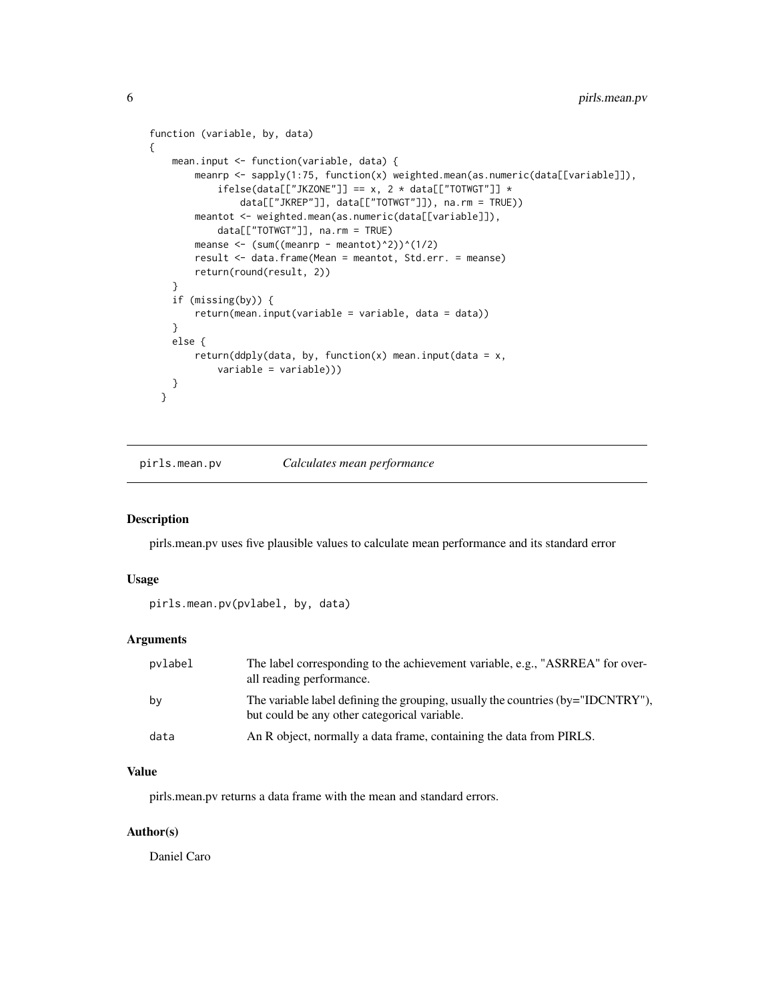```
function (variable, by, data)
{
   mean.input <- function(variable, data) {
       meanrp <- sapply(1:75, function(x) weighted.mean(as.numeric(data[[variable]]),
            ifelse(data[["JKZONE"]] == x, 2 * data[["TOTWGT"]] *data[["JKREP"]], data[["TOTWGT"]]), na.rm = TRUE))
        meantot <- weighted.mean(as.numeric(data[[variable]]),
            data[["TOTWGT"]], na.rm = TRUE)
       meanse \leftarrow (sum((meanrp - meantot)^2))^(1/2)
        result <- data.frame(Mean = meantot, Std.err. = meanse)
        return(round(result, 2))
    }
    if (missing(by)) {
        return(mean.input(variable = variable, data = data))
    }
   else {
        return(ddply(data, by, function(x) mean.input(data = x,
            variable = variable)))
   }
 }
```
pirls.mean.pv *Calculates mean performance*

## Description

pirls.mean.pv uses five plausible values to calculate mean performance and its standard error

#### Usage

pirls.mean.pv(pvlabel, by, data)

## Arguments

| pvlabel | The label corresponding to the achievement variable, e.g., "ASRREA" for over-<br>all reading performance.                       |
|---------|---------------------------------------------------------------------------------------------------------------------------------|
| bv      | The variable label defining the grouping, usually the countries (by="IDCNTRY"),<br>but could be any other categorical variable. |
| data    | An R object, normally a data frame, containing the data from PIRLS.                                                             |

## Value

pirls.mean.pv returns a data frame with the mean and standard errors.

## Author(s)

Daniel Caro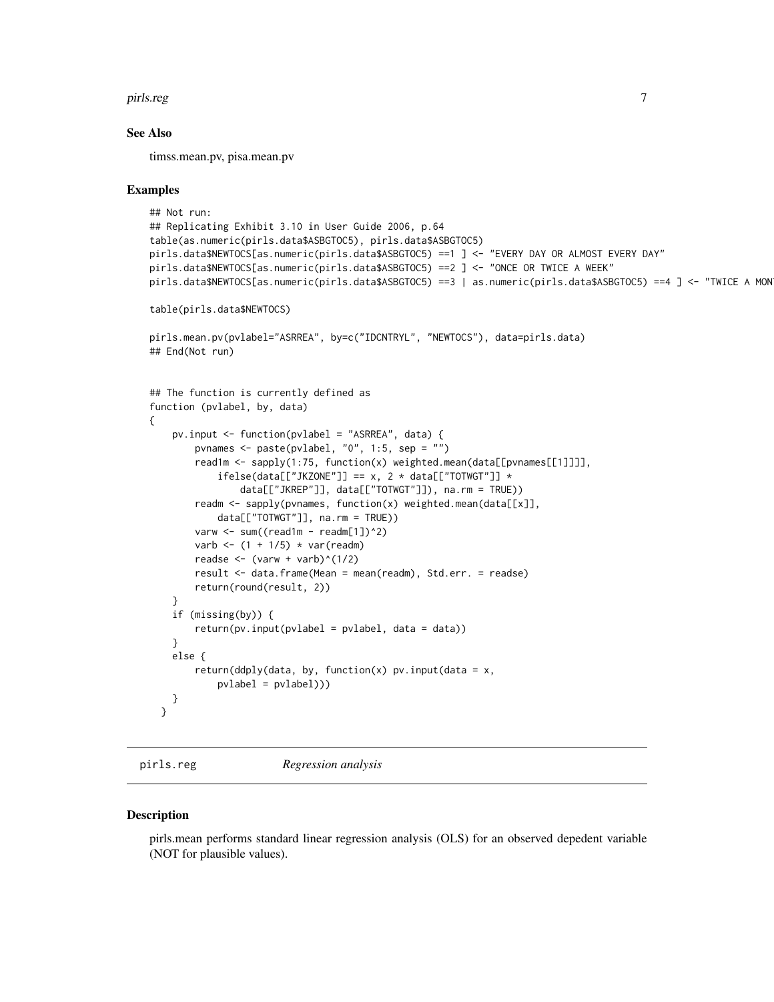<span id="page-6-0"></span>pirls.reg 7

## See Also

timss.mean.pv, pisa.mean.pv

#### Examples

```
## Not run:
## Replicating Exhibit 3.10 in User Guide 2006, p.64
table(as.numeric(pirls.data$ASBGTOC5), pirls.data$ASBGTOC5)
pirls.data$NEWTOCS[as.numeric(pirls.data$ASBGTOC5) ==1 ] <- "EVERY DAY OR ALMOST EVERY DAY"
pirls.data$NEWTOCS[as.numeric(pirls.data$ASBGTOC5) ==2 ] <- "ONCE OR TWICE A WEEK"
pirls.data$NEWTOCS[as.numeric(pirls.data$ASBGTOC5) ==3 | as.numeric(pirls.data$ASBGTOC5) ==4 ] <- "TWICE A MON
table(pirls.data$NEWTOCS)
pirls.mean.pv(pvlabel="ASRREA", by=c("IDCNTRYL", "NEWTOCS"), data=pirls.data)
## End(Not run)
## The function is currently defined as
function (pvlabel, by, data)
{
   pv.input <- function(pvlabel = "ASRREA", data) {
        pvnames <- paste(pvlabel, "0", 1:5, sep = "")
        read1m <- sapply(1:75, function(x) weighted.mean(data[[pvnames[[1]]]],
            ifelse(data[["JKZONE"]] == x, 2 * data[["TOTWGT"]] *data[["JKREP"]], data[["TOTWGT"]]), na.rm = TRUE))
        readm \leq sapply(pvnames, function(x) weighted.mean(data[[x]],
            data[["TOTWGT"]], na.rm = TRUE))
        varw \le sum((read1m - readm[1])^2)
        varb \leftarrow (1 + 1/5) * var(readm)
        readse \leftarrow (varw + varb)^(1/2)
        result <- data.frame(Mean = mean(readm), Std.err. = readse)
        return(round(result, 2))
    }
    if (missing(by)) {
        return(pv.input(pvlabel = pvlabel, data = data))
    }
   else {
        return(ddply(data, by, function(x) pv.input(data = x,pvlabel = pvlabel)))
    }
 }
```
pirls.reg *Regression analysis*

## Description

pirls.mean performs standard linear regression analysis (OLS) for an observed depedent variable (NOT for plausible values).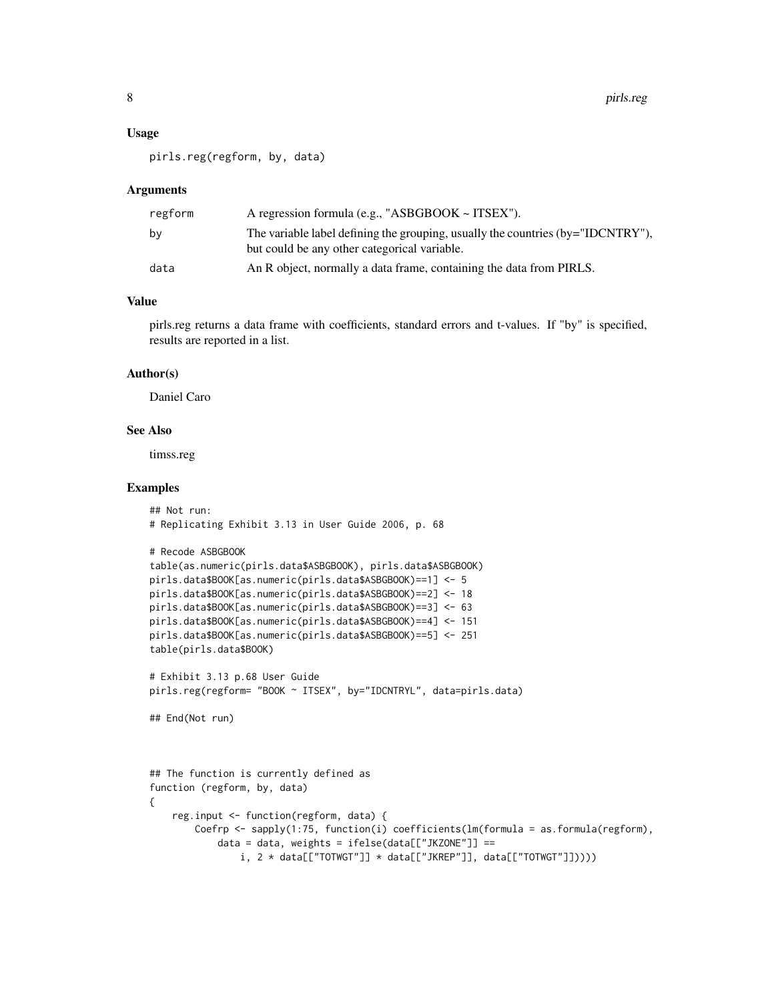#### Usage

pirls.reg(regform, by, data)

#### **Arguments**

| regform | A regression formula (e.g., "ASBGBOOK $\sim$ ITSEX").                                                                              |
|---------|------------------------------------------------------------------------------------------------------------------------------------|
| bv      | The variable label defining the grouping, usually the countries $(by="IDCNTRY$ "),<br>but could be any other categorical variable. |
| data    | An R object, normally a data frame, containing the data from PIRLS.                                                                |

## Value

pirls.reg returns a data frame with coefficients, standard errors and t-values. If "by" is specified, results are reported in a list.

#### Author(s)

Daniel Caro

## See Also

timss.reg

```
## Not run:
# Replicating Exhibit 3.13 in User Guide 2006, p. 68
# Recode ASBGBOOK
table(as.numeric(pirls.data$ASBGBOOK), pirls.data$ASBGBOOK)
pirls.data$BOOK[as.numeric(pirls.data$ASBGBOOK)==1] <- 5
pirls.data$BOOK[as.numeric(pirls.data$ASBGBOOK)==2] <- 18
pirls.data$BOOK[as.numeric(pirls.data$ASBGBOOK)==3] <- 63
pirls.data$BOOK[as.numeric(pirls.data$ASBGBOOK)==4] <- 151
pirls.data$BOOK[as.numeric(pirls.data$ASBGBOOK)==5] <- 251
table(pirls.data$BOOK)
# Exhibit 3.13 p.68 User Guide
pirls.reg(regform= "BOOK ~ ITSEX", by="IDCNTRYL", data=pirls.data)
## End(Not run)
## The function is currently defined as
function (regform, by, data)
{
    reg.input <- function(regform, data) {
       Coefrp <- sapply(1:75, function(i) coefficients(lm(formula = as.formula(regform),
           data = data, weights = ifelse(data[["JKZONE"]] ==
               i, 2 * data[['TOTWGT']] * data[['JKREF"]], data[['TOTWGT"]]))
```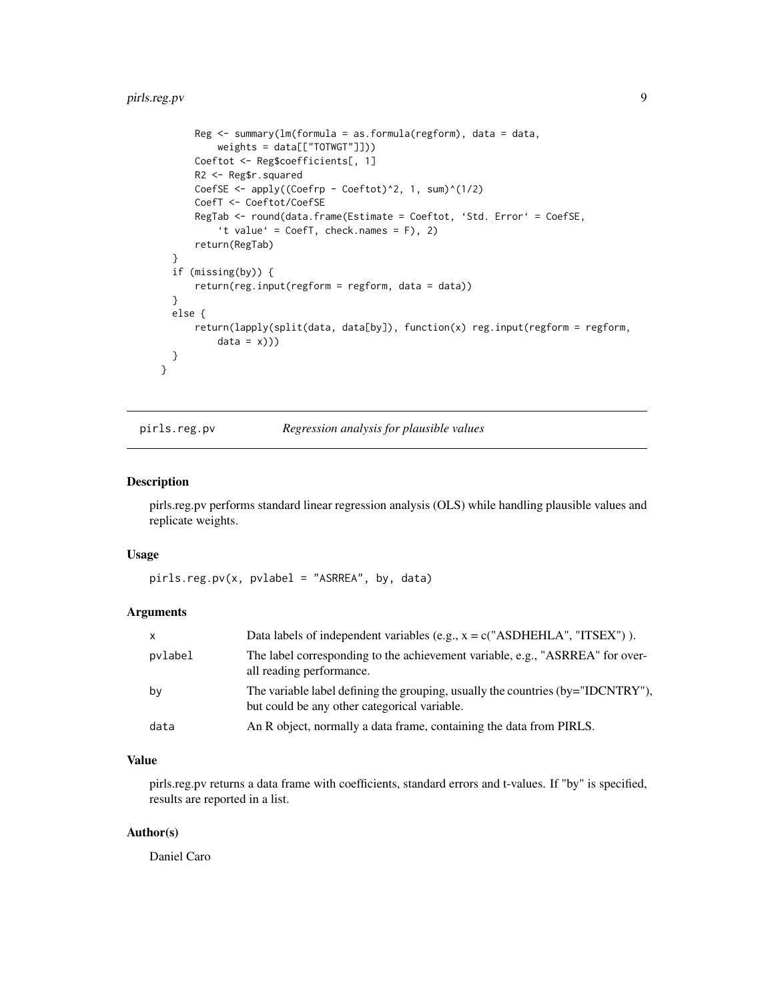## <span id="page-8-0"></span>pirls.reg.pv 9

```
Reg <- summary(lm(formula = as.formula(regform), data = data,
         weights = data[["TOTWGT"]]))
     Coeftot <- Reg$coefficients[, 1]
     R2 <- Reg$r.squared
     CoefSE <- apply((Coeffp - Coeftot)^2, 1, sum)^(1/2)CoefT <- Coeftot/CoefSE
      RegTab <- round(data.frame(Estimate = Coeftot, 'Std. Error' = CoefSE,
          't value' = CoefT, check.names = F), 2)
     return(RegTab)
  }
  if (missing(by)) {
      return(reg.input(regform = regform, data = data))
  }
  else {
      return(lapply(split(data, data[by]), function(x) reg.input(regform = regform,
          data = x))}
}
```
## pirls.reg.pv *Regression analysis for plausible values*

## Description

pirls.reg.pv performs standard linear regression analysis (OLS) while handling plausible values and replicate weights.

#### Usage

pirls.reg.pv(x, pvlabel = "ASRREA", by, data)

## Arguments

| $\mathsf{x}$ | Data labels of independent variables (e.g., $x = c("ASDHEHLA", "ITSEX")$ ).                                                     |
|--------------|---------------------------------------------------------------------------------------------------------------------------------|
| pvlabel      | The label corresponding to the achievement variable, e.g., "ASRREA" for over-<br>all reading performance.                       |
| by           | The variable label defining the grouping, usually the countries (by="IDCNTRY"),<br>but could be any other categorical variable. |
| data         | An R object, normally a data frame, containing the data from PIRLS.                                                             |

#### Value

pirls.reg.pv returns a data frame with coefficients, standard errors and t-values. If "by" is specified, results are reported in a list.

## Author(s)

Daniel Caro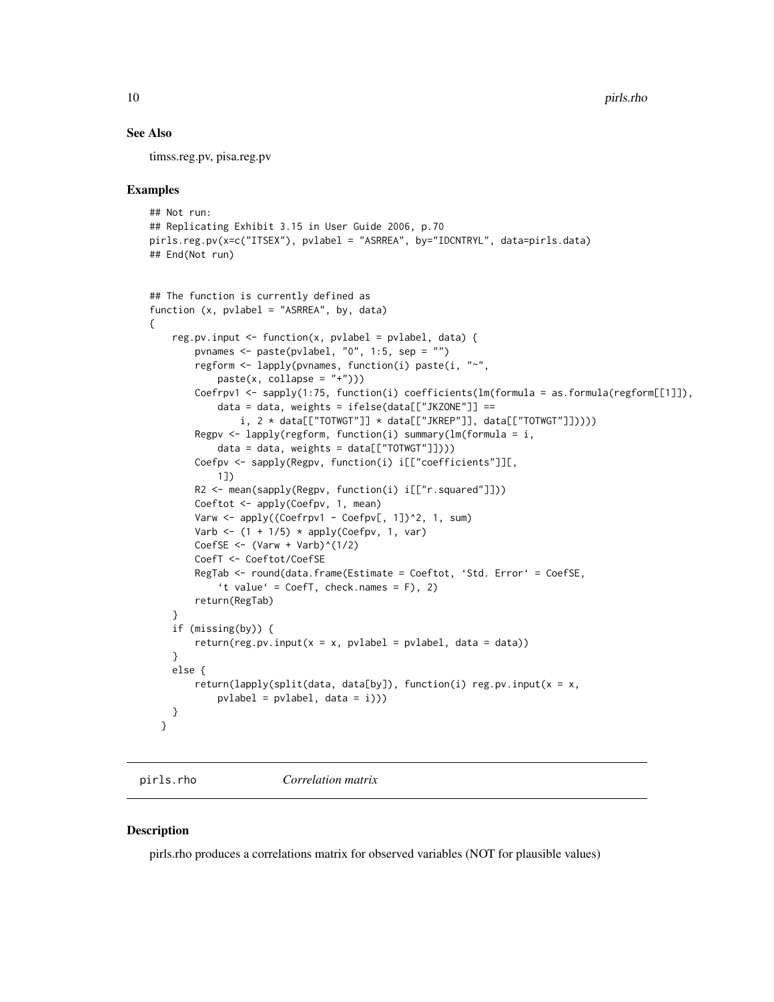## See Also

timss.reg.pv, pisa.reg.pv

## Examples

```
## Not run:
## Replicating Exhibit 3.15 in User Guide 2006, p.70
pirls.reg.pv(x=c("ITSEX"), pvlabel = "ASRREA", by="IDCNTRYL", data=pirls.data)
## End(Not run)
## The function is currently defined as
function (x, pvlabel = "ASRREA", by, data)
{
    reg.pv.input \leq function(x, pvlabel = pvlabel, data) {
        pvnames \leq paste(pvlabel, "0", 1:5, sep = "")
        regform <- lapply(pvnames, function(i) paste(i, "~",
            paste(x, collapse = "+''))Coefrpv1 <- sapply(1:75, function(i) coefficients(lm(formula = as.formula(regform[[1]]),
            data = data, weights = ifelse(data[["JKZONE"]] ==
                i, 2 * data[["TOTWGT"]] * data[["JKREF"]], data[["TOTWGT"]]))Regpv <- lapply(regform, function(i) summary(lm(formula = i,
            data = data, weights = data[["TOTWGT"]]))Coefpv <- sapply(Regpv, function(i) i[["coefficients"]][,
            1])
        R2 <- mean(sapply(Regpv, function(i) i[["r.squared"]]))
        Coeftot <- apply(Coefpv, 1, mean)
        Varw \leq apply((Coefrpv1 - Coefpv[, 1])^2, 1, sum)
        Varb \leftarrow (1 + 1/5) * apply(Coefpv, 1, var)
        CoefSE \leftarrow (Varw + Varb)^(1/2)
        CoefT <- Coeftot/CoefSE
        RegTab <- round(data.frame(Estimate = Coeftot, 'Std. Error' = CoefSE,
            't value' = CoefT, check.names = F), 2)
        return(RegTab)
    }
    if (missing(by)) {
        return(res.py.input(x = x, pvlabel = pvlabel, data = data))}
   else {
        return(lapply(split(data, data[by]), function(i) reg.pv.input(x = x,
            pvlabel = pvlabel, data = i))}
 }
```
pirls.rho *Correlation matrix*

#### Description

pirls.rho produces a correlations matrix for observed variables (NOT for plausible values)

<span id="page-9-0"></span>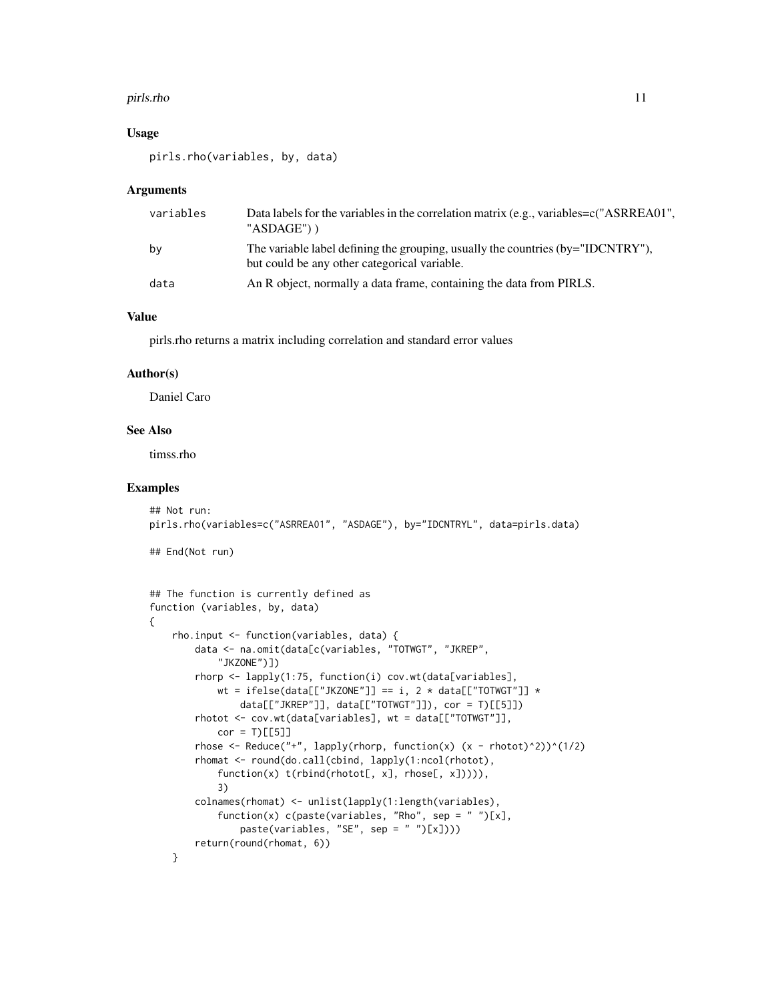#### pirls.rho 11

## Usage

pirls.rho(variables, by, data)

## **Arguments**

| variables | Data labels for the variables in the correlation matrix (e.g., variables=c("ASRREA01",<br>"ASDAGE"))                            |
|-----------|---------------------------------------------------------------------------------------------------------------------------------|
| by        | The variable label defining the grouping, usually the countries (by="IDCNTRY"),<br>but could be any other categorical variable. |
| data      | An R object, normally a data frame, containing the data from PIRLS.                                                             |

## Value

pirls.rho returns a matrix including correlation and standard error values

#### Author(s)

Daniel Caro

#### See Also

timss.rho

```
## Not run:
pirls.rho(variables=c("ASRREA01", "ASDAGE"), by="IDCNTRYL", data=pirls.data)
## End(Not run)
## The function is currently defined as
function (variables, by, data)
{
    rho.input <- function(variables, data) {
        data <- na.omit(data[c(variables, "TOTWGT", "JKREP",
            "JKZONE")])
        rhorp <- lapply(1:75, function(i) cov.wt(data[variables],
            wt = ifelse(data[["JKZONE"]] == i, 2 * data[["TOTWGT"]] *
                data[["JKREP"]], data[["TOTWGT"]]), cor = T)[[5]])
        rhotot <- cov.wt(data[variables], wt = data[["TOTWGT"]],
            cor = T)[[5]]
        rhose <- Reduce("+", lapply(rhorp, function(x) (x - \text{rhotot})^2)^(1/2)
        rhomat <- round(do.call(cbind, lapply(1:ncol(rhotot),
            function(x) t(rbind(rhotot[, x], rhose[, x])))),
            3)
        colnames(rhomat) <- unlist(lapply(1:length(variables),
            function(x) c(paste(variables, "Rho", sep = " ")[x],
                paste(variables, "SE", sep = " ")[x])))
        return(round(rhomat, 6))
    }
```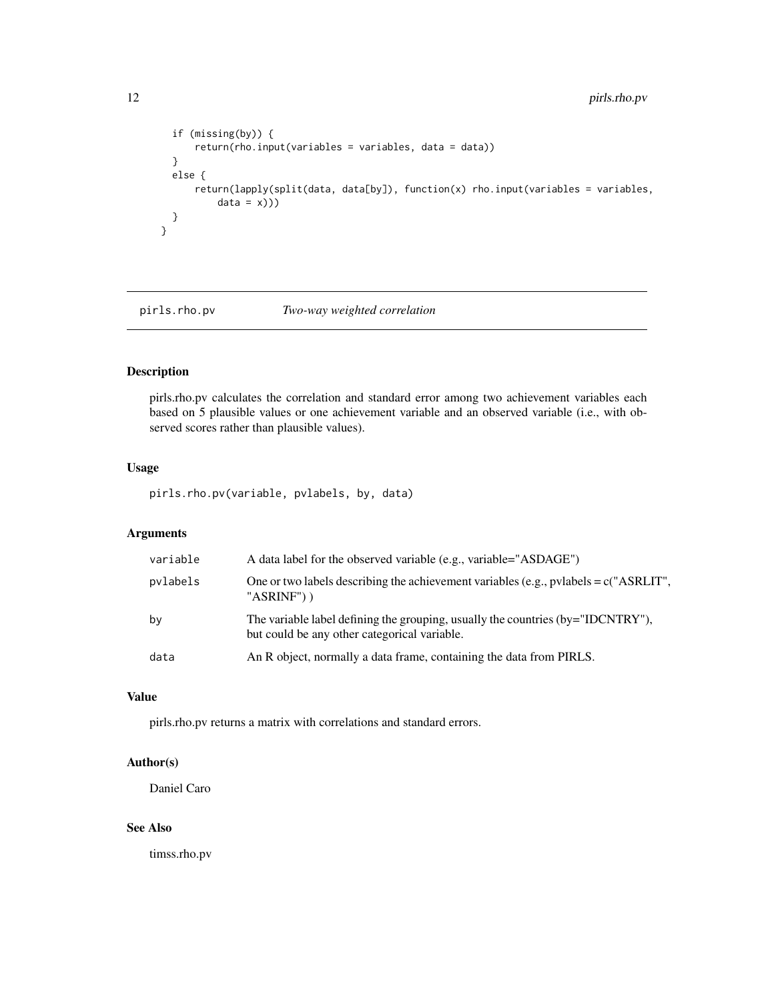```
if (missing(by)) {
     return(rho.input(variables = variables, data = data))
  }
 else {
      return(lapply(split(data, data[by]), function(x) rho.input(variables = variables,
          data = x))}
}
```
pirls.rho.pv *Two-way weighted correlation*

## Description

pirls.rho.pv calculates the correlation and standard error among two achievement variables each based on 5 plausible values or one achievement variable and an observed variable (i.e., with observed scores rather than plausible values).

## Usage

pirls.rho.pv(variable, pvlabels, by, data)

## Arguments

| variable | A data label for the observed variable (e.g., variable="ASDAGE")                                                                |
|----------|---------------------------------------------------------------------------------------------------------------------------------|
| pvlabels | One or two labels describing the achievement variables (e.g., pvlabels = $c$ ("ASRLIT",<br>" $ASRINF$ ") )                      |
| by       | The variable label defining the grouping, usually the countries (by="IDCNTRY"),<br>but could be any other categorical variable. |
| data     | An R object, normally a data frame, containing the data from PIRLS.                                                             |

## Value

pirls.rho.pv returns a matrix with correlations and standard errors.

## Author(s)

Daniel Caro

## See Also

timss.rho.pv

<span id="page-11-0"></span>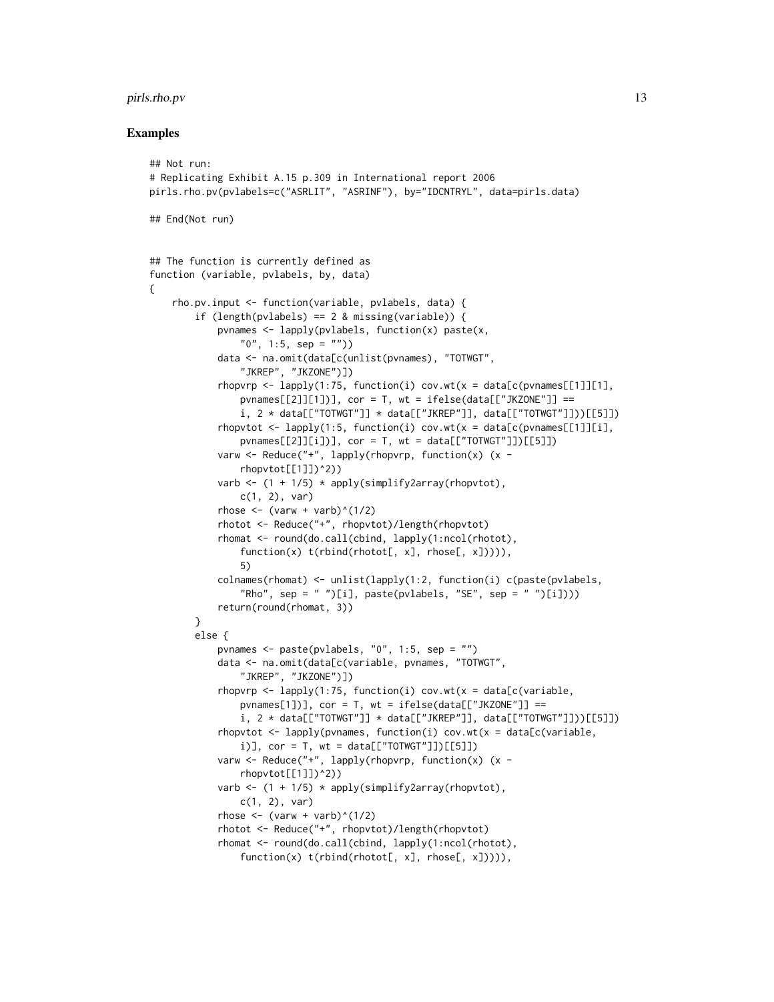## pirls.rho.pv 13

#### Examples

{

```
## Not run:
# Replicating Exhibit A.15 p.309 in International report 2006
pirls.rho.pv(pvlabels=c("ASRLIT", "ASRINF"), by="IDCNTRYL", data=pirls.data)
## End(Not run)
## The function is currently defined as
function (variable, pvlabels, by, data)
    rho.pv.input <- function(variable, pvlabels, data) {
        if (length(pvlabels) == 2 & missing(variable)) {
            pvnames \leq lapply(pvlabels, function(x) paste(x,
                "0", 1:5, sep = "")data <- na.omit(data[c(unlist(pvnames), "TOTWGT",
                "JKREP", "JKZONE")])
            rhopvrp \leq lapply(1:75, function(i) cov.wt(x = data[c(pvnames[[1]][1],
                pvnames[[2]][1])], cor = T, wt = ifelse(data[["JKZONE"]] ==
                i, 2 * data[['TOTWGT"]] * data[['JKREF"]], data[['TOTWGT"]]))[[5]]]rhopvtot \leq lapply(1:5, function(i) cov.wt(x = data[c(pvnames[[1]][i],
                pvnames[[2]][i])], cor = T, wt = data[["TOTWGT"]])[[5]])
            varw <- Reduce("+", lapply(rhopvrp, function(x) (x -
                rhopvtot[[1]])^2))
            varb \leq (1 + 1/5) \star apply(simplify2array(rhopvtot),
                c(1, 2), varrhose \leq (varw + varb)\land(1/2)
            rhotot <- Reduce("+", rhopvtot)/length(rhopvtot)
            rhomat <- round(do.call(cbind, lapply(1:ncol(rhotot),
                function(x) t(rbind(rhotot[, x], rhose[, x])))),
                5)
            colnames(rhomat) <- unlist(lapply(1:2, function(i) c(paste(pvlabels,
                "Rho", sep = " ")[i], paste(pvlabels, "SE", sep = " ")[i])))
            return(round(rhomat, 3))
        }
        else {
            pvnames <- paste(pvlabels, "0", 1:5, sep = "")
            data <- na.omit(data[c(variable, pvnames, "TOTWGT",
                "JKREP", "JKZONE")])
            rhopvrp \leq lapply(1:75, function(i) cov.wt(x = data[c(variable,
                pvnames[1])], cor = T, wt = ifelse(data[["JKZONE"]] ==
                i, 2 * data[['TOTWGT"]] * data[['JKREF"]], data[['TOTWGT"]]))[[5]]]rhopvtot <- lapply(pvnames, function(i) cov.wt(x = data[c(variable,
                i)], cor = T, wt = data[["TOTWGT"]])[[5]])
            varw <- Reduce("+", lapply(rhopvrp, function(x) (x -
                rhopvtot[[1]])^2)
            varb \leftarrow (1 + 1/5) \star apply(simplify2array(rhopvtot),
                c(1, 2), varrhose \leftarrow (varw + varb)^(1/2)
            rhotot <- Reduce("+", rhopvtot)/length(rhopvtot)
            rhomat <- round(do.call(cbind, lapply(1:ncol(rhotot),
                function(x) t(rbind(rhotot[, x], rhostes[, x]))),
```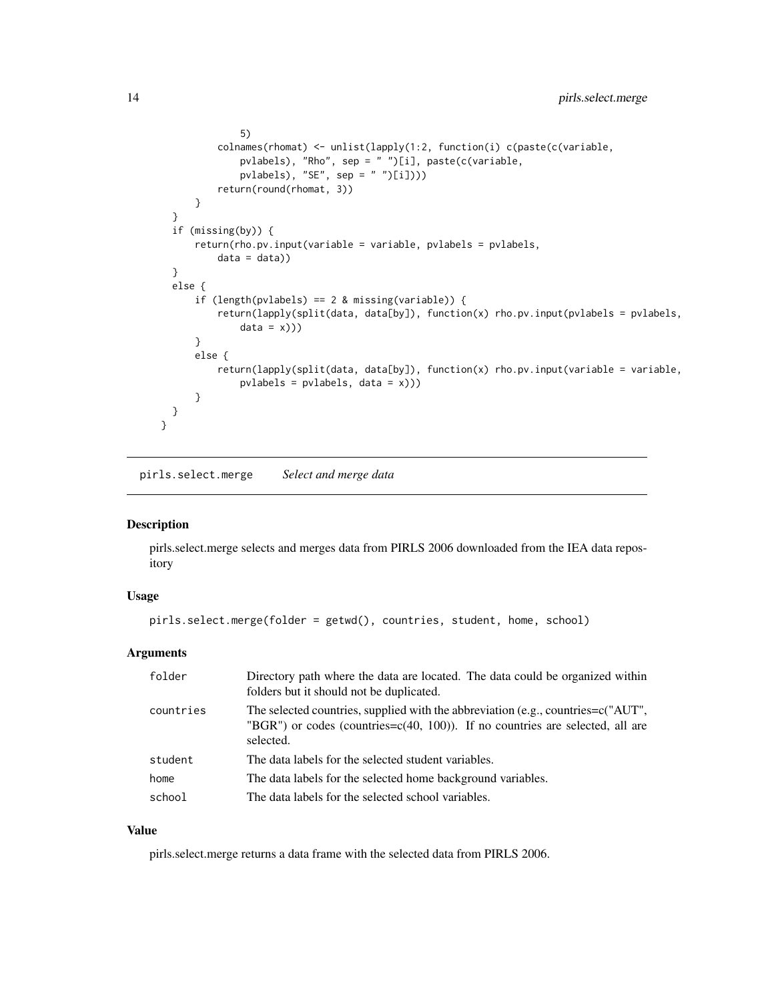```
5)
          colnames(rhomat) <- unlist(lapply(1:2, function(i) c(paste(c(variable,
              pvlabels), "Rho", sep = " ")[i], paste(c(variable,
              pvlabels), "SE", sep = " ")[i])))
          return(round(rhomat, 3))
     }
  }
  if (missing(by)) {
      return(rho.pv.input(variable = variable, pvlabels = pvlabels,
          data = data)}
  else {
      if (length(pvlabels) == 2 & missing(variable)) {
          return(lapply(split(data, data[by]), function(x) rho.pv.input(pvlabels = pvlabels,
              data = x))}
      else {
          return(lapply(split(data, data[by]), function(x) rho.pv.input(variable = variable,
              pvlabels = pvlabels, data = x)))
      }
 }
}
```
pirls.select.merge *Select and merge data*

#### Description

pirls.select.merge selects and merges data from PIRLS 2006 downloaded from the IEA data repository

## Usage

```
pirls.select.merge(folder = getwd(), countries, student, home, school)
```
## Arguments

| folder    | Directory path where the data are located. The data could be organized within<br>folders but it should not be duplicated.                                                             |
|-----------|---------------------------------------------------------------------------------------------------------------------------------------------------------------------------------------|
| countries | The selected countries, supplied with the abbreviation (e.g., countries= $c("AUT",$<br>"BGR") or codes (countries= $c(40, 100)$ ). If no countries are selected, all are<br>selected. |
| student   | The data labels for the selected student variables.                                                                                                                                   |
| home      | The data labels for the selected home background variables.                                                                                                                           |
| school    | The data labels for the selected school variables.                                                                                                                                    |

## Value

pirls.select.merge returns a data frame with the selected data from PIRLS 2006.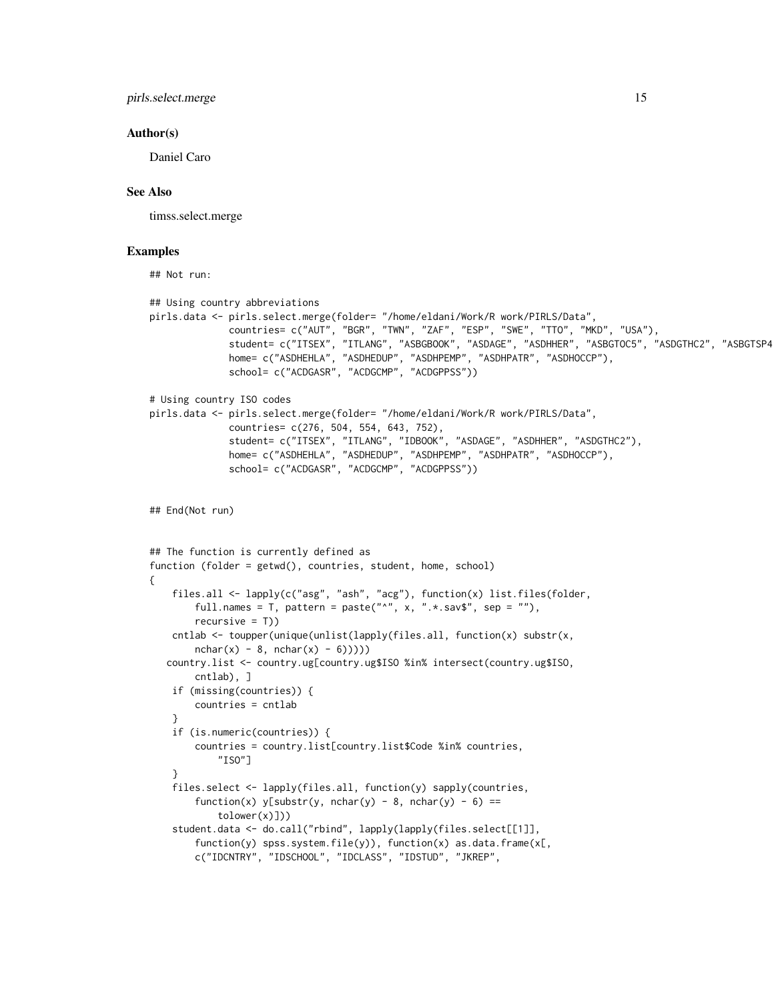pirls.select.merge 15

#### Author(s)

Daniel Caro

## See Also

timss.select.merge

## Examples

## Not run:

```
## Using country abbreviations
pirls.data <- pirls.select.merge(folder= "/home/eldani/Work/R work/PIRLS/Data",
              countries= c("AUT", "BGR", "TWN", "ZAF", "ESP", "SWE", "TTO", "MKD", "USA"),
              student= c("ITSEX", "ITLANG", "ASBGBOOK", "ASDAGE", "ASDHHER", "ASBGTOC5", "ASDGTHC2", "ASBGTSP4"),
              home= c("ASDHEHLA", "ASDHEDUP", "ASDHPEMP", "ASDHPATR", "ASDHOCCP"),
              school= c("ACDGASR", "ACDGCMP", "ACDGPPSS"))
# Using country ISO codes
pirls.data <- pirls.select.merge(folder= "/home/eldani/Work/R work/PIRLS/Data",
              countries= c(276, 504, 554, 643, 752),
              student= c("ITSEX", "ITLANG", "IDBOOK", "ASDAGE", "ASDHHER", "ASDGTHC2"),
             home= c("ASDHEHLA", "ASDHEDUP", "ASDHPEMP", "ASDHPATR", "ASDHOCCP"),
              school= c("ACDGASR", "ACDGCMP", "ACDGPPSS"))
## End(Not run)
## The function is currently defined as
function (folder = getwd(), countries, student, home, school)
{
    files.all <- lapply(c("asg", "ash", "acg"), function(x) list.files(folder,
        full.names = T, pattern = paste("^{\circ}", x, ".*.sav$", sep = ""),
        recursively = T()cntlab \leq toupper(unique(unlist(lapply(files.all, function(x) substr(x,
       nchar(x) - 8, nchar(x) - 6)))))
   country.list <- country.ug[country.ug$ISO %in% intersect(country.ug$ISO,
       cntlab), ]
    if (missing(countries)) {
        countries = cntlab
    }
   if (is.numeric(countries)) {
        countries = country.list[country.list$Code %in% countries,
            "ISO"]
    }
    files.select <- lapply(files.all, function(y) sapply(countries,
        function(x) y[substr(y, nchar(y) - 8, nchar(y) - 6) ==tolower(x)]))
    student.data <- do.call("rbind", lapply(lapply(files.select[[1]],
        function(y) spss.system.file(y)), function(x) as.data.frame(x[,
        c("IDCNTRY", "IDSCHOOL", "IDCLASS", "IDSTUD", "JKREP",
```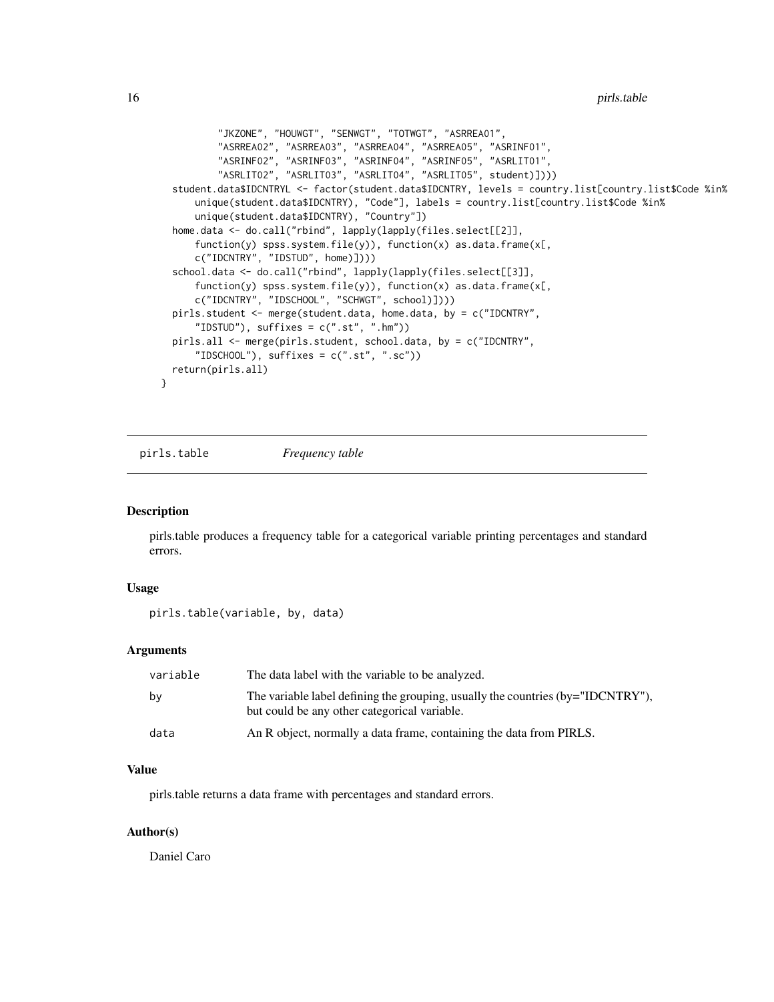<span id="page-15-0"></span>16 **pirls.table** pirls.table

```
"JKZONE", "HOUWGT", "SENWGT", "TOTWGT", "ASRREA01",
        "ASRREA02", "ASRREA03", "ASRREA04", "ASRREA05", "ASRINF01",
        "ASRINF02", "ASRINF03", "ASRINF04", "ASRINF05", "ASRLIT01",
        "ASRLIT02", "ASRLIT03", "ASRLIT04", "ASRLIT05", student)])))
student.data$IDCNTRYL <- factor(student.data$IDCNTRY, levels = country.list[country.list$Code %in%
    unique(student.data$IDCNTRY), "Code"], labels = country.list[country.list$Code %in%
    unique(student.data$IDCNTRY), "Country"])
home.data <- do.call("rbind", lapply(lapply(files.select[[2]],
    function(y) spss.system.file(y)), function(x) as.data.frame(x[,
    c("IDCNTRY", "IDSTUD", home)])))
school.data <- do.call("rbind", lapply(lapply(files.select[[3]],
    function(y) spss.system.file(y)), function(x) as.data.frame(x[,
    c("IDCNTRY", "IDSCHOOL", "SCHWGT", school)])))
pirls.student <- merge(student.data, home.data, by = c("IDCNTRY",
    "IDSTUD"), suffixes = c(".st", ".hm"))
pirls.all <- merge(pirls.student, school.data, by = c("IDCNTRY",
    "IDSCHOOL"), suffixes = c(".st", ".sc"))
return(pirls.all)
```
pirls.table *Frequency table*

#### **Description**

}

pirls.table produces a frequency table for a categorical variable printing percentages and standard errors.

## Usage

pirls.table(variable, by, data)

## Arguments

| variable | The data label with the variable to be analyzed.                                                                                    |
|----------|-------------------------------------------------------------------------------------------------------------------------------------|
| by       | The variable label defining the grouping, usually the countries $(by="IDCNTRY'')$ ,<br>but could be any other categorical variable. |
| data     | An R object, normally a data frame, containing the data from PIRLS.                                                                 |

## Value

pirls.table returns a data frame with percentages and standard errors.

## Author(s)

Daniel Caro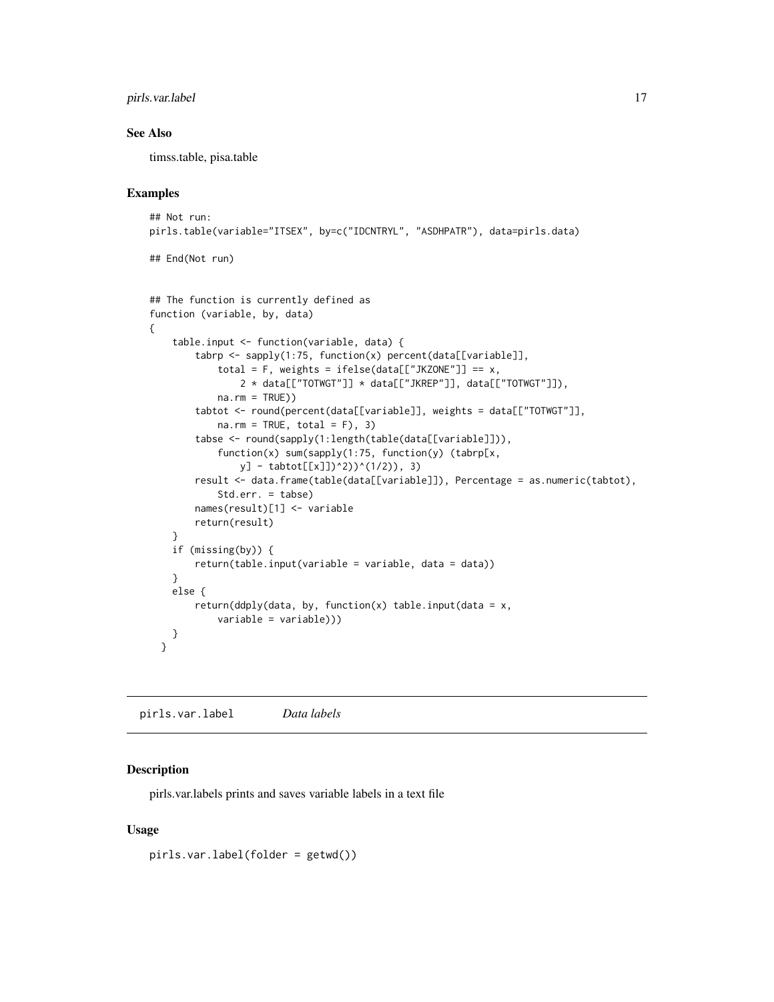## <span id="page-16-0"></span>pirls.var.label 17

## See Also

timss.table, pisa.table

#### Examples

```
## Not run:
pirls.table(variable="ITSEX", by=c("IDCNTRYL", "ASDHPATR"), data=pirls.data)
## End(Not run)
## The function is currently defined as
function (variable, by, data)
{
    table.input <- function(variable, data) {
       tabrp <- sapply(1:75, function(x) percent(data[[variable]],
            total = F, weights = ifelse(data[["JKZONE"]] == x,
                2 * data[["TOTWGT"]] * data[["JKREP"]], data[["TOTWGT"]]),
            na.rm = TRUE))
       tabtot <- round(percent(data[[variable]], weights = data[["TOTWGT"]],
            na.rm = TRUE, total = F), 3)tabse <- round(sapply(1:length(table(data[[variable]])),
            function(x) sum(sapply(1:75, function(y) (tabrp[x,
               y] - tabtot[[x]])^2))^(1/2)), 3)
       result <- data.frame(table(data[[variable]]), Percentage = as.numeric(tabtot),
            Std.err. = tabse)
       names(result)[1] <- variable
       return(result)
    }
    if (missing(by)) {
       return(table.input(variable = variable, data = data))
    }
   else {
       return(ddply(data, by, function(x) table.input(data = x,
            variable = variable)))
   }
 }
```
pirls.var.label *Data labels*

#### Description

pirls.var.labels prints and saves variable labels in a text file

#### Usage

pirls.var.label(folder = getwd())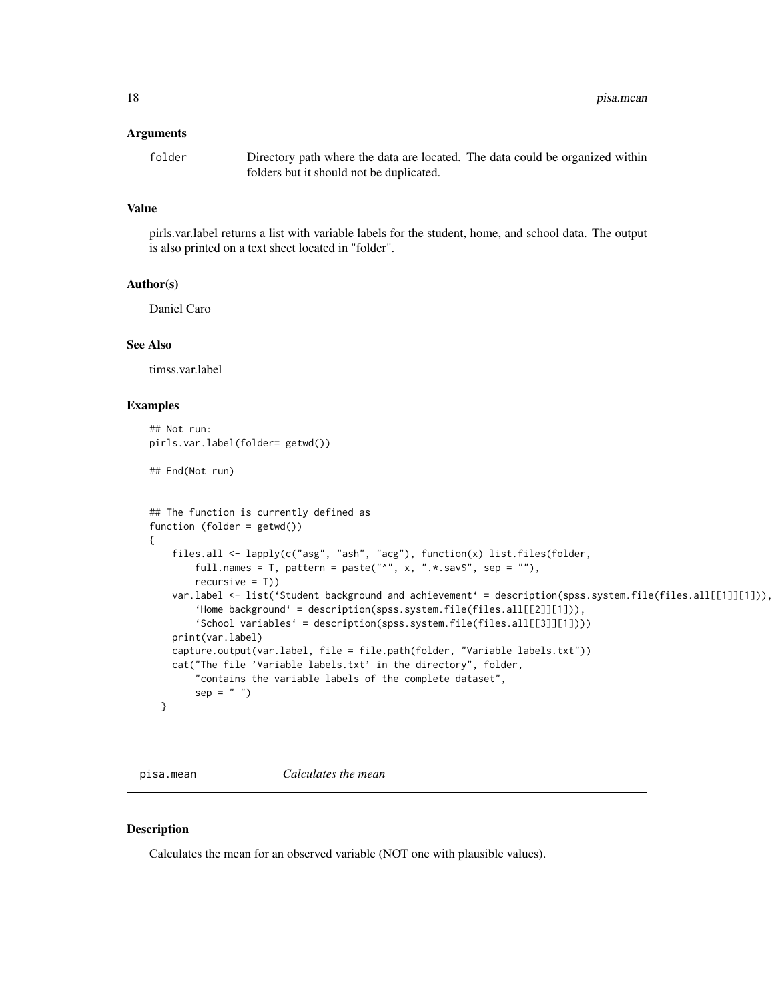#### <span id="page-17-0"></span>Arguments

folder Directory path where the data are located. The data could be organized within folders but it should not be duplicated.

## Value

pirls.var.label returns a list with variable labels for the student, home, and school data. The output is also printed on a text sheet located in "folder".

## Author(s)

Daniel Caro

## See Also

timss.var.label

#### Examples

```
## Not run:
pirls.var.label(folder= getwd())
## End(Not run)
## The function is currently defined as
function (folder = getwd())
{
    files.all <- lapply(c("asg", "ash", "acg"), function(x) list.files(folder,
       full.names = T, pattern = paste("^", x, ".*.sav$", sep = ""),
       recursive = T))
    var.label <- list('Student background and achievement' = description(spss.system.file(files.all[[1]][1])),
        'Home background' = description(spss.system.file(files.all[[2]][1])),
        'School variables' = description(spss.system.file(files.all[[3]][1])))
   print(var.label)
   capture.output(var.label, file = file.path(folder, "Variable labels.txt"))
    cat("The file 'Variable labels.txt' in the directory", folder,
        "contains the variable labels of the complete dataset",
        sep = " "")}
```
pisa.mean *Calculates the mean*

## Description

Calculates the mean for an observed variable (NOT one with plausible values).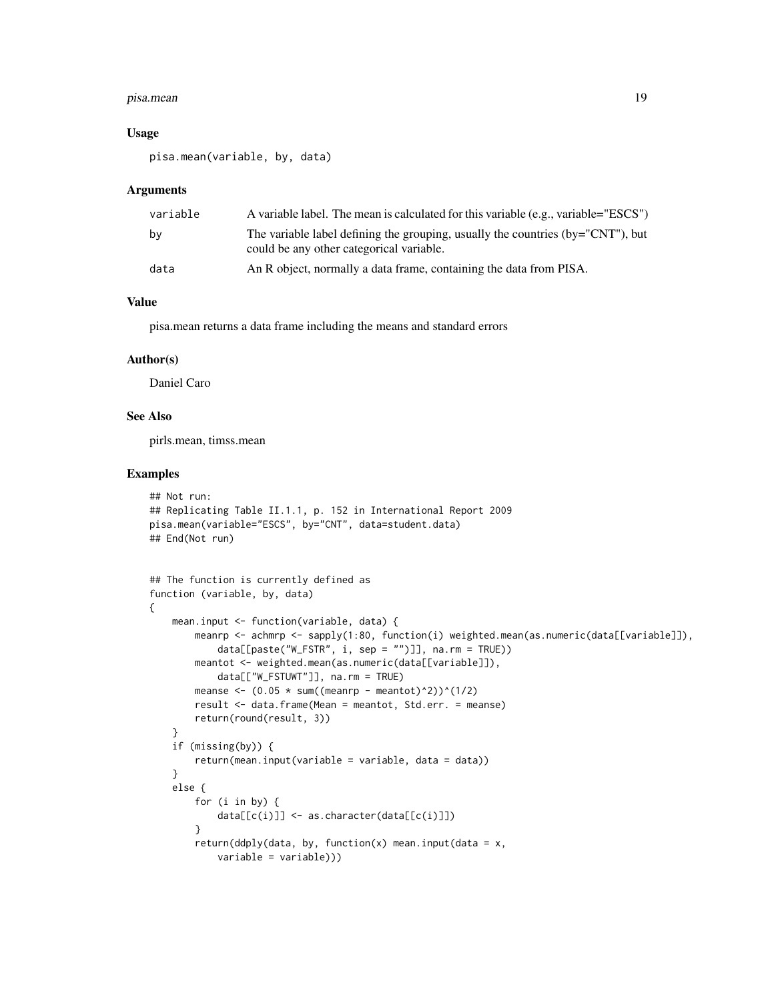#### pisa.mean 19

### Usage

pisa.mean(variable, by, data)

#### Arguments

| variable | A variable label. The mean is calculated for this variable (e.g., variable="ESCS")                                              |
|----------|---------------------------------------------------------------------------------------------------------------------------------|
| bv       | The variable label defining the grouping, usually the countries ( $by="CNT"$ ), but<br>could be any other categorical variable. |
| data     | An R object, normally a data frame, containing the data from PISA.                                                              |

## Value

pisa.mean returns a data frame including the means and standard errors

### Author(s)

Daniel Caro

## See Also

pirls.mean, timss.mean

```
## Not run:
## Replicating Table II.1.1, p. 152 in International Report 2009
pisa.mean(variable="ESCS", by="CNT", data=student.data)
## End(Not run)
## The function is currently defined as
function (variable, by, data)
{
   mean.input <- function(variable, data) {
        meanrp <- achmrp <- sapply(1:80, function(i) weighted.mean(as.numeric(data[[variable]]),
            data[[paste("W_FSTR", i, sep = "")]], na.rm = TRUE))
       meantot <- weighted.mean(as.numeric(data[[variable]]),
            data[["W_FSTUWT"]], na.rm = TRUE)
        meanse \leq (0.05 \star sum((meanrp - meantot)^2))^(1/2)
        result <- data.frame(Mean = meantot, Std.err. = meanse)
       return(round(result, 3))
    }
   if (missing(by)) {
        return(mean.input(variable = variable, data = data))
    }
   else {
        for (i in by) {
            data[[c(i)]] <- as.character(data[[c(i)]])
        }
        return(ddply(data, by, function(x) mean.input(data = x,
            variable = variable)))
```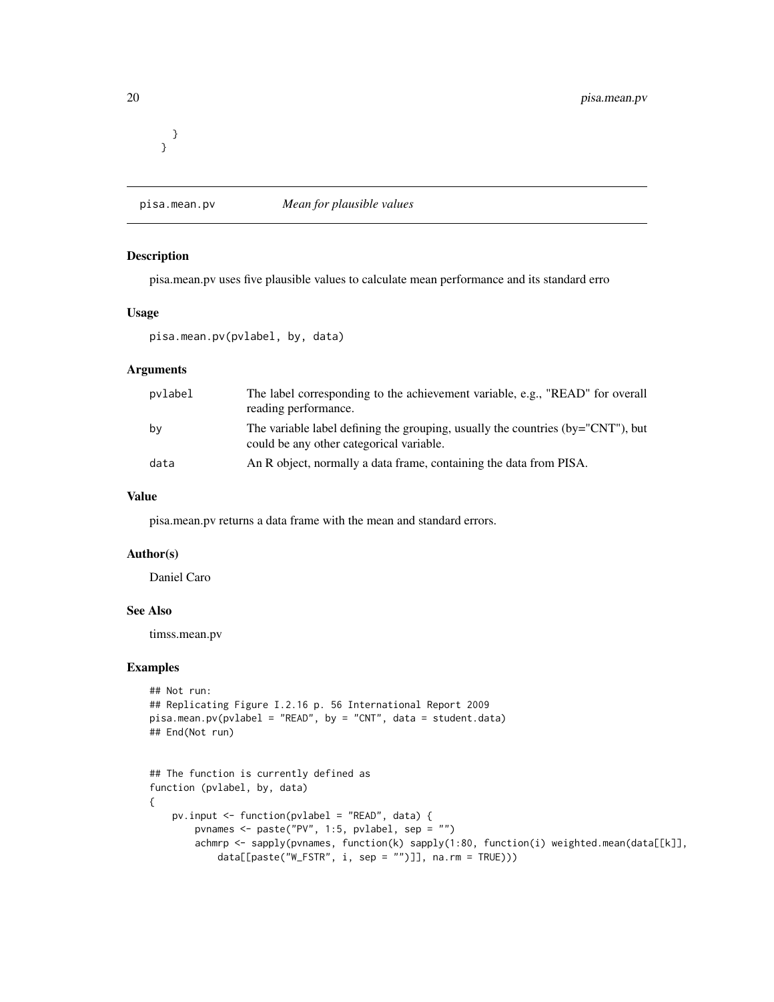<span id="page-19-0"></span>} }

## pisa.mean.pv *Mean for plausible values*

## Description

pisa.mean.pv uses five plausible values to calculate mean performance and its standard erro

## Usage

```
pisa.mean.pv(pvlabel, by, data)
```
## Arguments

| pvlabel | The label corresponding to the achievement variable, e.g., "READ" for overall<br>reading performance.                       |
|---------|-----------------------------------------------------------------------------------------------------------------------------|
| bv      | The variable label defining the grouping, usually the countries (by="CNT"), but<br>could be any other categorical variable. |
| data    | An R object, normally a data frame, containing the data from PISA.                                                          |

#### Value

pisa.mean.pv returns a data frame with the mean and standard errors.

## Author(s)

Daniel Caro

## See Also

timss.mean.pv

```
## Not run:
## Replicating Figure I.2.16 p. 56 International Report 2009
pisa.mean.pv(pvlabel = "READ", by = "CNT", data = student.data)
## End(Not run)
```

```
## The function is currently defined as
function (pvlabel, by, data)
{
    pv.input <- function(pvlabel = "READ", data) {
       pvnames <- paste("PV", 1:5, pvlabel, sep = "")
        achmrp <- sapply(pvnames, function(k) sapply(1:80, function(i) weighted.mean(data[[k]],
            data[[paste("W_FSTR", i, sep = "")]], na.rm = TRUE)))
```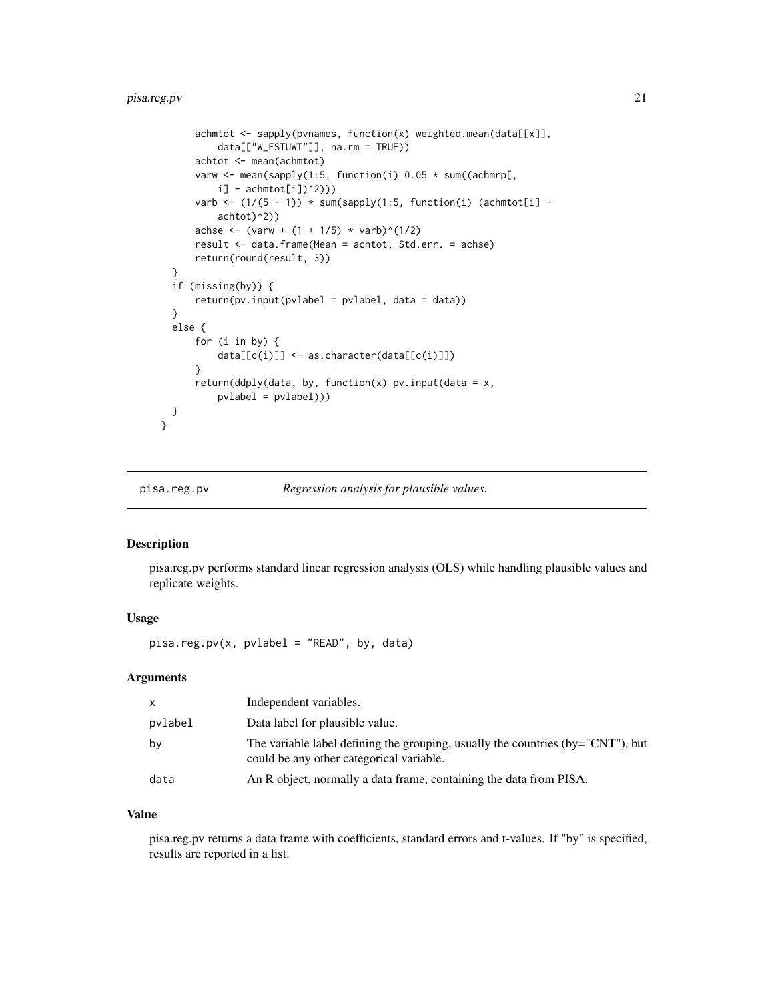## <span id="page-20-0"></span>pisa.reg.pv 21

```
achmtot <- sapply(pvnames, function(x) weighted.mean(data[[x]],
          data[["W_FSTUWT"]], na.rm = TRUE))
      achtot <- mean(achmtot)
      varw <- mean(sapply(1:5, function(i) 0.05 * sum((achmrp[,
          i] - \text{achmtot}[i])^2)))
      varb \leftarrow (1/(5 - 1)) * sum(sapply(1:5, function(i) (achmtot[i] -
          achtot)^2))
      achse <- (varw + (1 + 1/5) * varb)^(1/2)
      result <- data.frame(Mean = achtot, Std.err. = achse)
      return(round(result, 3))
  }
  if (missing(by)) {
      return(pv.input(pvlabel = pvlabel, data = data))
  }
  else {
      for (i in by) {
          data[[c(i)]] <- as.character(data[[c(i)]])
      }
      return(ddply(data, by, function(x) pv.input(data = x,pvlabel = pvlabel)))
 }
}
```
pisa.reg.pv *Regression analysis for plausible values.*

## Description

pisa.reg.pv performs standard linear regression analysis (OLS) while handling plausible values and replicate weights.

## Usage

pisa.reg.pv(x, pvlabel = "READ", by, data)

## Arguments

| $\times$ | Independent variables.                                                                                                          |
|----------|---------------------------------------------------------------------------------------------------------------------------------|
| pvlabel  | Data label for plausible value.                                                                                                 |
| by       | The variable label defining the grouping, usually the countries ( $by="CNT"$ ), but<br>could be any other categorical variable. |
| data     | An R object, normally a data frame, containing the data from PISA.                                                              |

## Value

pisa.reg.pv returns a data frame with coefficients, standard errors and t-values. If "by" is specified, results are reported in a list.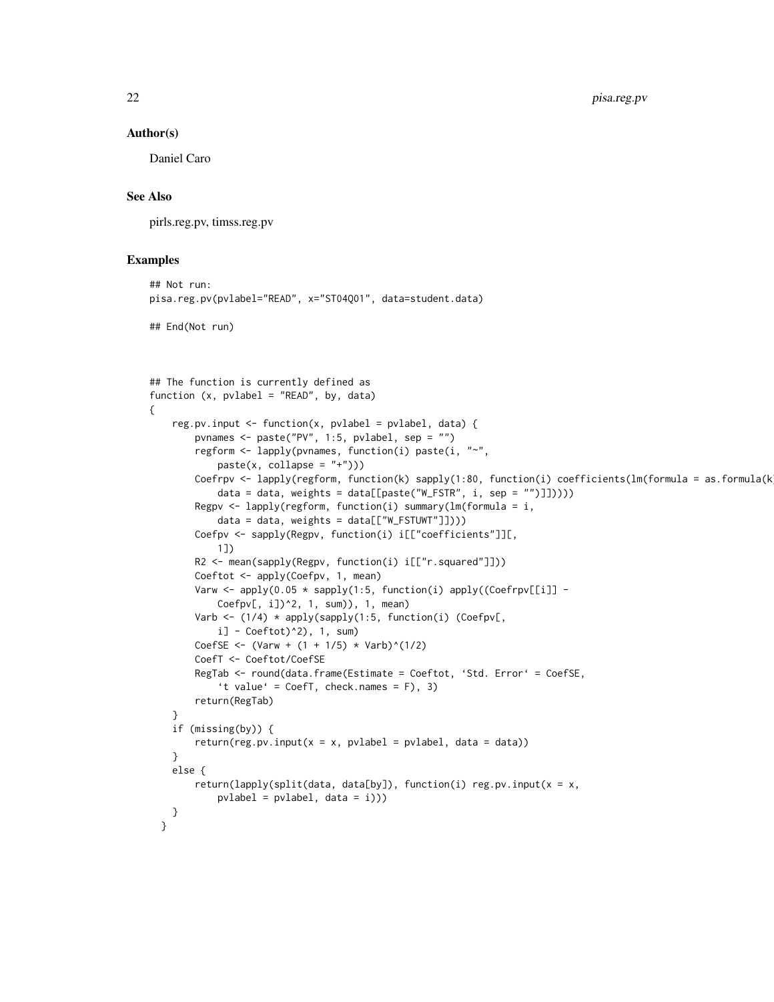#### Author(s)

Daniel Caro

## See Also

pirls.reg.pv, timss.reg.pv

```
## Not run:
pisa.reg.pv(pvlabel="READ", x="ST04Q01", data=student.data)
## End(Not run)
```

```
## The function is currently defined as
function (x, pvlabel = "READ", by, data)
{
    reg.pv.input <- function(x, pvlabel = pvlabel, data) {
       pvnames <- paste("PV", 1:5, pvlabel, sep = "")
       regform <- lapply(pvnames, function(i) paste(i, "~",
           paste(x, collapse = "+''))Coefrpv <- lapply(regform, function(k) sapply(1:80, function(i) coefficients(lm(formula = as.formula(k)
           data = data, weights = data[[paste("W_FSTR", i, sep = "")]]))))
       Regpv <- lapply(regform, function(i) summary(lm(formula = i,data = data, weights = data[["W_FSTUWT"]]))Coefpv <- sapply(Regpv, function(i) i[["coefficients"]][,
           1])
       R2 <- mean(sapply(Regpv, function(i) i[["r.squared"]]))
       Coeftot <- apply(Coefpv, 1, mean)
       Varw <- apply(0.05 * sapply(1:5, function(i) apply((Coefrpv[[i]] -
           Coefpv[, i])^2, 1, sum)), 1, mean)
       Varb <- (1/4) * apply(sapply(1:5, function(i) (Coefpv[,
           i] - Coeftot)^2), 1, sum)
       CoefSE <- (Varw + (1 + 1/5) * Varb)^(1/2)
       CoefT <- Coeftot/CoefSE
       RegTab <- round(data.frame(Estimate = Coeftot, 'Std. Error' = CoefSE,
            't value' = CoefT, check.names = F), 3)
       return(RegTab)
    }
    if (missing(by)) {
       return(res.py.input(x = x, pvlabel = pvlabel, data = data))}
   else {
        return(lapply(split(data, data[by]), function(i) reg.pv.input(x = x,
           pvlabel = pvlabel, data = i)))
   }
 }
```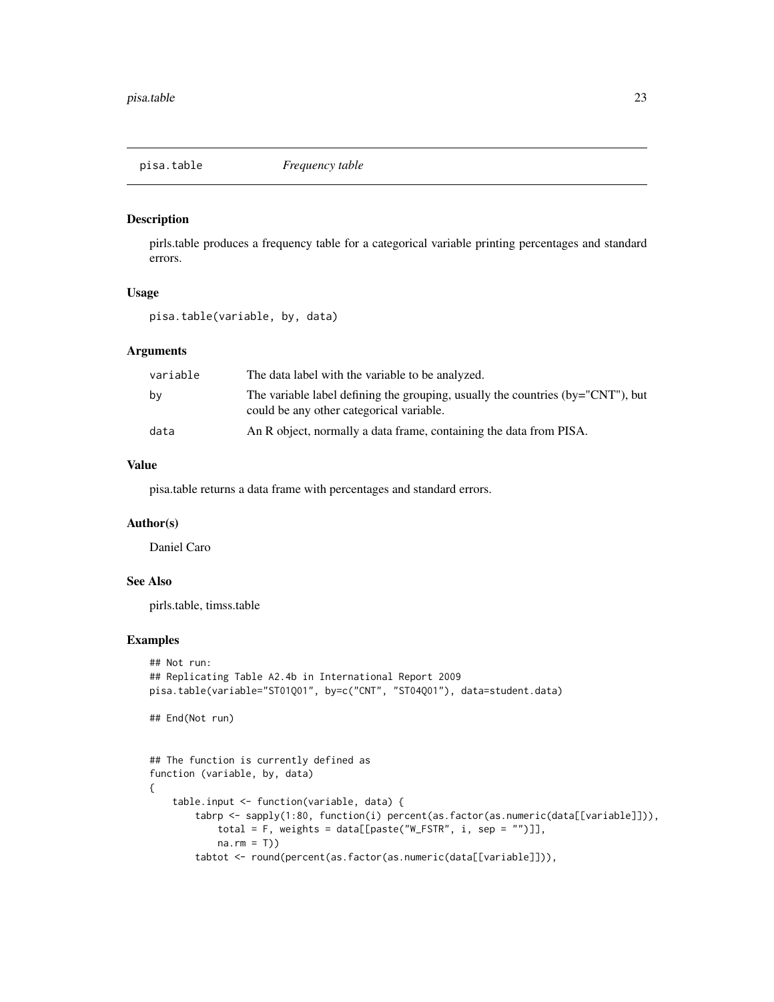<span id="page-22-0"></span>

### Description

pirls.table produces a frequency table for a categorical variable printing percentages and standard errors.

## Usage

pisa.table(variable, by, data)

#### Arguments

| variable | The data label with the variable to be analyzed.                                                                               |
|----------|--------------------------------------------------------------------------------------------------------------------------------|
| by       | The variable label defining the grouping, usually the countries $(by="CNT")$ , but<br>could be any other categorical variable. |
| data     | An R object, normally a data frame, containing the data from PISA.                                                             |

## Value

pisa.table returns a data frame with percentages and standard errors.

#### Author(s)

Daniel Caro

## See Also

pirls.table, timss.table

```
## Not run:
## Replicating Table A2.4b in International Report 2009
pisa.table(variable="ST01Q01", by=c("CNT", "ST04Q01"), data=student.data)
## End(Not run)
## The function is currently defined as
function (variable, by, data)
{
    table.input <- function(variable, data) {
       tabrp <- sapply(1:80, function(i) percent(as.factor(as.numeric(data[[variable]])),
           total = F, weights = data[[paste("W_FSTR", i, sep = "")]],
           na.rm = T)tabtot <- round(percent(as.factor(as.numeric(data[[variable]])),
```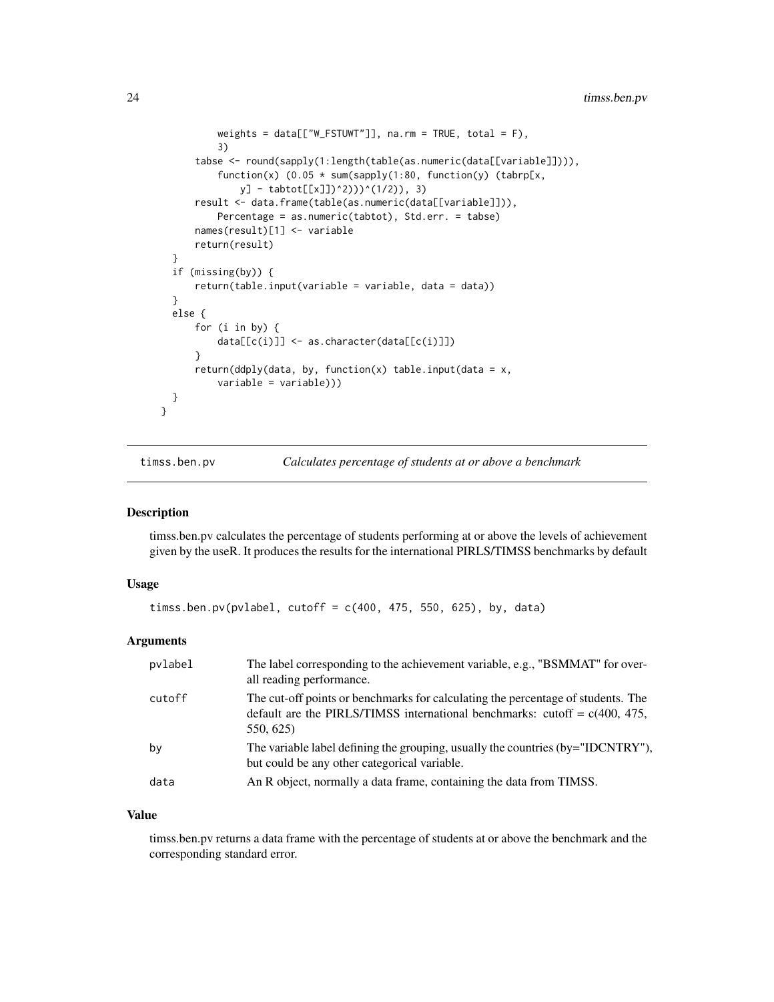```
weights = data[["W_FSTUWT"]], na.rm = TRUE, total = F),
          3)
      tabse <- round(sapply(1:length(table(as.numeric(data[[variable]]))),
          function(x) (0.05 * sum(sapply(1:80, function(y)) (tabrp[x,y] - tabtot[[x]])^2)))^(1/2)), 3)
      result <- data.frame(table(as.numeric(data[[variable]])),
          Percentage = as.numeric(tabtot), Std.err. = tabse)
      names(result)[1] <- variable
      return(result)
  }
  if (missing(by)) {
      return(table.input(variable = variable, data = data))
  }
  else {
      for (i in by) {
          data[[c(i)]] <- as.character(data[[c(i)]])
      }
      return(ddply(data, by, function(x) table.input(data = x,
          variable = variable)))
 }
}
```
timss.ben.pv *Calculates percentage of students at or above a benchmark*

#### Description

timss.ben.pv calculates the percentage of students performing at or above the levels of achievement given by the useR. It produces the results for the international PIRLS/TIMSS benchmarks by default

## Usage

```
timss.ben.pv(pvlabel, cutoff = c(400, 475, 550, 625), by, data)
```
#### Arguments

| pvlabel | The label corresponding to the achievement variable, e.g., "BSMMAT" for over-<br>all reading performance.                                                                     |
|---------|-------------------------------------------------------------------------------------------------------------------------------------------------------------------------------|
| cutoff  | The cut-off points or benchmarks for calculating the percentage of students. The<br>default are the PIRLS/TIMSS international benchmarks: cutoff = $c(400, 475,$<br>550, 625) |
| bγ      | The variable label defining the grouping, usually the countries (by="IDCNTRY"),<br>but could be any other categorical variable.                                               |
| data    | An R object, normally a data frame, containing the data from TIMSS.                                                                                                           |

## Value

timss.ben.pv returns a data frame with the percentage of students at or above the benchmark and the corresponding standard error.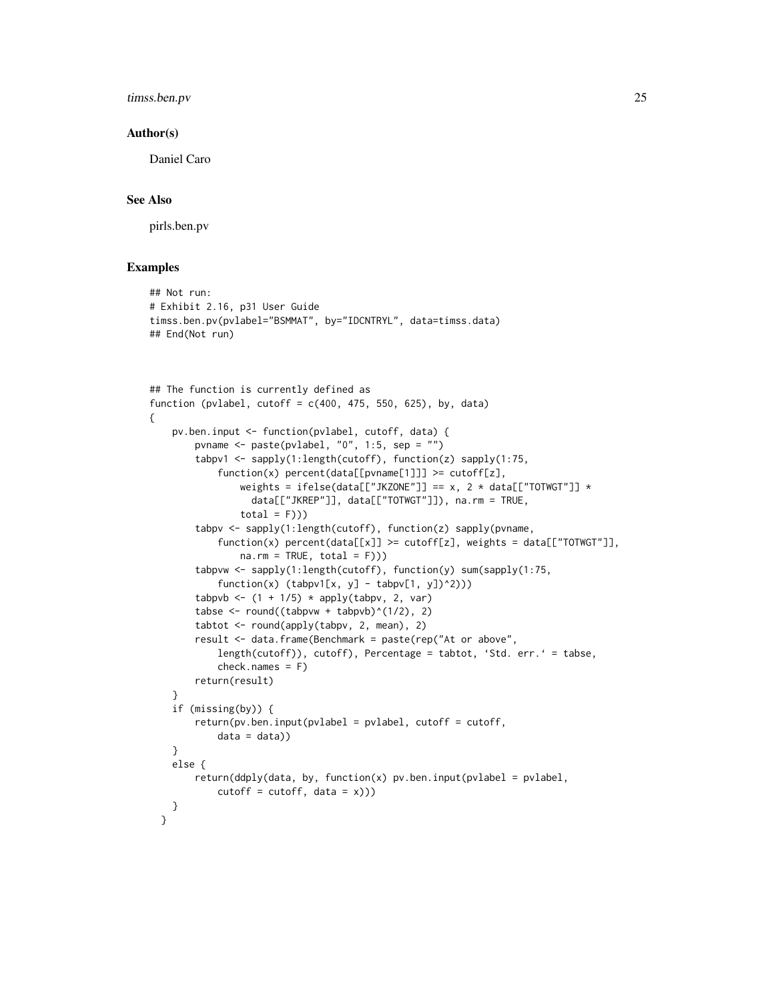timss.ben.pv 25

#### Author(s)

Daniel Caro

## See Also

pirls.ben.pv

```
## Not run:
# Exhibit 2.16, p31 User Guide
timss.ben.pv(pvlabel="BSMMAT", by="IDCNTRYL", data=timss.data)
## End(Not run)
## The function is currently defined as
function (pvlabel, cutoff = c(400, 475, 550, 625), by, data)
{
   pv.ben.input <- function(pvlabel, cutoff, data) {
       pvname <- paste(pvlabel, "0", 1:5, sep = "")
       tabpv1 <- sapply(1:length(cutoff), function(z) sapply(1:75,
           function(x) percent(data[[pvname[1]]] \geq cutoff[z],
                weights = ifelse(data[["JKZONE"]] == x, 2 * data[["TOTWGT"]] *
                  data[["JKREP"]], data[["TOTWGT"]]), na.rm = TRUE,
                total = F))tabpv <- sapply(1:length(cutoff), function(z) sapply(pvname,
           function(x) percent(data[[x]] >= cutoff[z], weights = data[["TOTWGT"]],
               na.rm = TRUE, total = F)))tabpvw <- sapply(1:length(cutoff), function(y) sum(sapply(1:75,
           function(x) (tabpv1[x, y] - tabpv[1, y])^2)))
       tabpvb <- (1 + 1/5) * apply(tabpv, 2, var)
       tabse <- round((tabpvw + tabpvb)^(1/2), 2)
       tabtot <- round(apply(tabpv, 2, mean), 2)
       result <- data.frame(Benchmark = paste(rep("At or above",
           length(cutoff)), cutoff), Percentage = tabtot, 'Std. err.' = tabse,
           check.name = F)return(result)
    }
    if (missing(by)) {
       return(pv.ben.input(pvlabel = pvlabel, cutoff = cutoff,
           data = data)}
    else {
       return(ddply(data, by, function(x) pv.ben.input(pvlabel = pvlabel,cutoff = cutoff, data = x))}
 }
```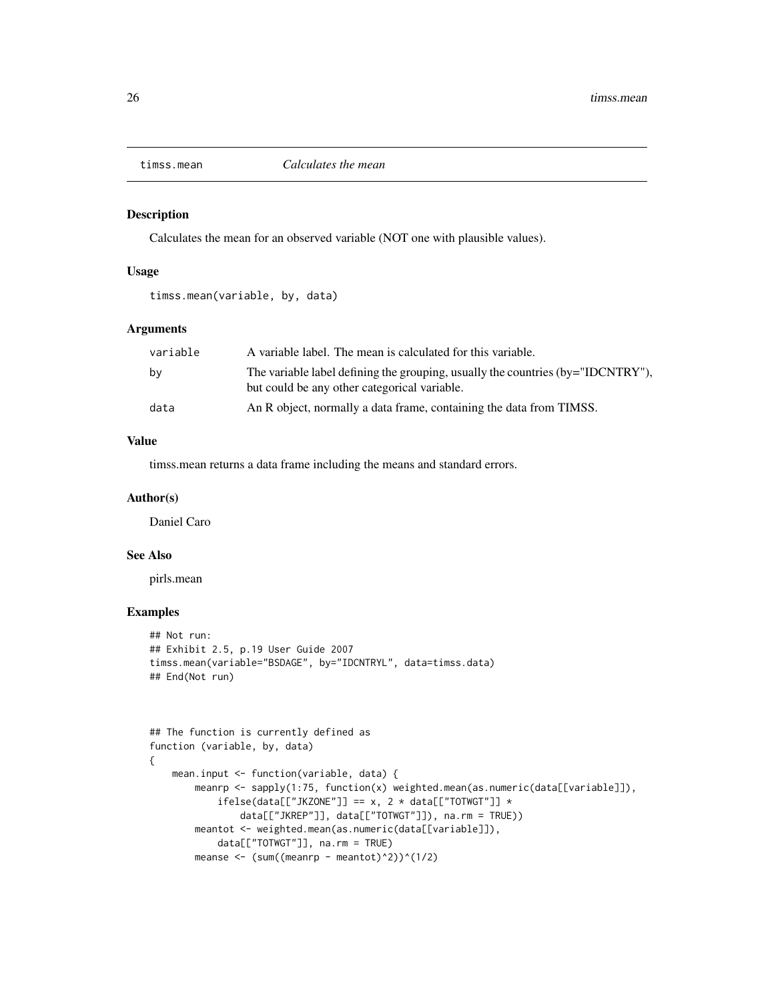<span id="page-25-0"></span>

#### Description

Calculates the mean for an observed variable (NOT one with plausible values).

## Usage

timss.mean(variable, by, data)

## Arguments

| variable | A variable label. The mean is calculated for this variable.                                                                        |
|----------|------------------------------------------------------------------------------------------------------------------------------------|
| bv       | The variable label defining the grouping, usually the countries $(by="IDCNTRY$ "),<br>but could be any other categorical variable. |
| data     | An R object, normally a data frame, containing the data from TIMSS.                                                                |

## Value

timss.mean returns a data frame including the means and standard errors.

#### Author(s)

Daniel Caro

## See Also

pirls.mean

```
## Not run:
## Exhibit 2.5, p.19 User Guide 2007
timss.mean(variable="BSDAGE", by="IDCNTRYL", data=timss.data)
## End(Not run)
```

```
## The function is currently defined as
function (variable, by, data)
{
    mean.input <- function(variable, data) {
       meanrp <- sapply(1:75, function(x) weighted.mean(as.numeric(data[[variable]]),
            ifelse(data[["JKZONE"]] == x, 2 * data[["TOTWGT"]] *data[["JKREP"]], data[["TOTWGT"]]), na.rm = TRUE))
       meantot <- weighted.mean(as.numeric(data[[variable]]),
            data[["TOTWGT"]], na.rm = TRUE)
       meanse \leq (sum((meanrp - meantot)^2))^(1/2)
```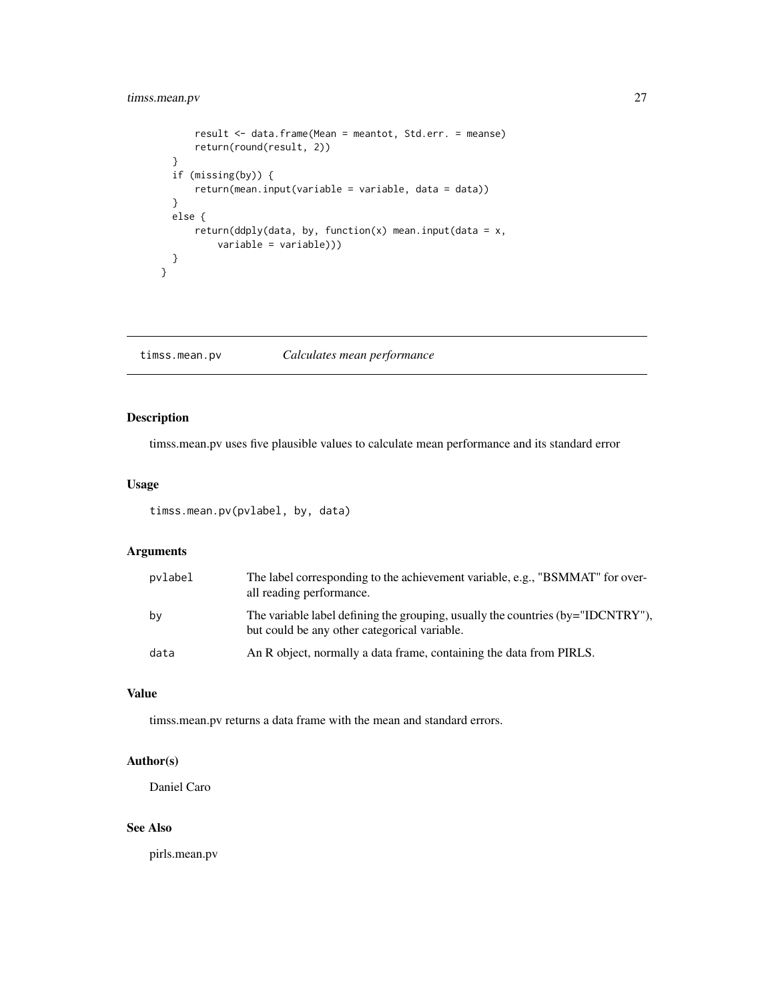## <span id="page-26-0"></span>timss.mean.pv 27

```
result <- data.frame(Mean = meantot, Std.err. = meanse)
     return(round(result, 2))
  }
 if (missing(by)) {
     return(mean.input(variable = variable, data = data))
  }
 else {
      return(ddply(data, by, function(x) mean.input(data = x,
          variable = variable)))
 }
}
```
timss.mean.pv *Calculates mean performance*

## Description

timss.mean.pv uses five plausible values to calculate mean performance and its standard error

#### Usage

timss.mean.pv(pvlabel, by, data)

## Arguments

| pvlabel | The label corresponding to the achievement variable, e.g., "BSMMAT" for over-<br>all reading performance.                       |
|---------|---------------------------------------------------------------------------------------------------------------------------------|
| by      | The variable label defining the grouping, usually the countries (by="IDCNTRY"),<br>but could be any other categorical variable. |
| data    | An R object, normally a data frame, containing the data from PIRLS.                                                             |

## Value

timss.mean.pv returns a data frame with the mean and standard errors.

## Author(s)

Daniel Caro

## See Also

pirls.mean.pv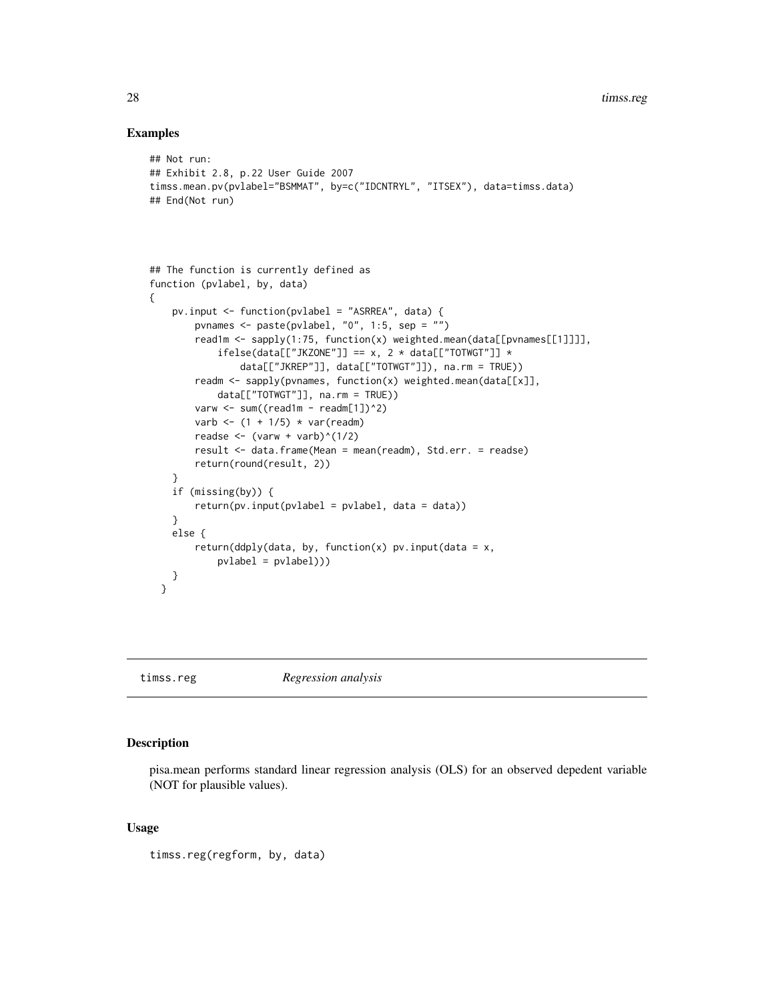## Examples

```
## Not run:
## Exhibit 2.8, p.22 User Guide 2007
timss.mean.pv(pvlabel="BSMMAT", by=c("IDCNTRYL", "ITSEX"), data=timss.data)
## End(Not run)
## The function is currently defined as
function (pvlabel, by, data)
{
   pv.input <- function(pvlabel = "ASRREA", data) {
        pvnames <- paste(pvlabel, "0", 1:5, sep = "")
        read1m <- sapply(1:75, function(x) weighted.mean(data[[pvnames[[1]]]],
            ifelse(data[["JKZONE"] == x, 2 * data[["TOTWGT"] *data[["JKREP"]], data[["TOTWGT"]]), na.rm = TRUE))
        readm <- sapply(pvnames, function(x) weighted.mean(data[[x]],
            data[["TOTWGT"]], na.rm = TRUE))
        varw <- sum((read1m - readm[1])^2)
        varb \leftarrow (1 + 1/5) * var(readm)
        readse \leftarrow (varw + varb)^(1/2)
        result <- data.frame(Mean = mean(readm), Std.err. = readse)
        return(round(result, 2))
    }
   if (missing(by)) {
        return(pv.input(pvlabel = pvlabel, data = data))
    }
   else {
        return(ddply(data, by, function(x) pv.input(data = x,pvlabel = pvlabel)))
   }
 }
```
timss.reg *Regression analysis*

## Description

pisa.mean performs standard linear regression analysis (OLS) for an observed depedent variable (NOT for plausible values).

#### Usage

timss.reg(regform, by, data)

<span id="page-27-0"></span>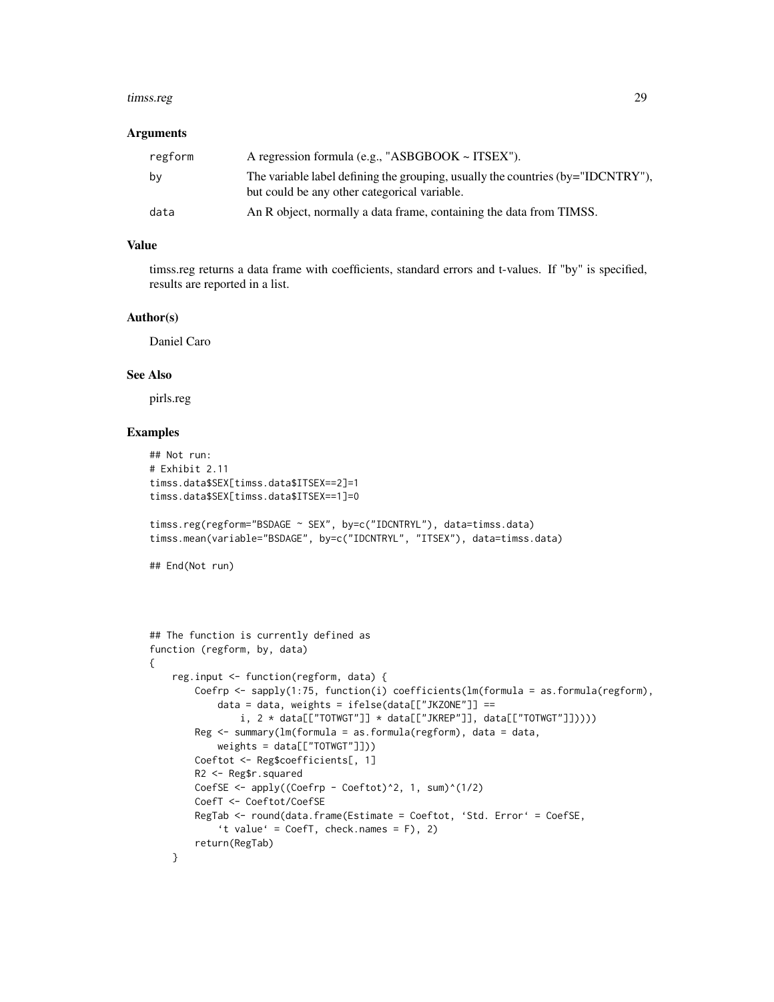#### timss.reg 29

#### Arguments

| regform | A regression formula (e.g., "ASBGBOOK $\sim$ ITSEX").                                                                               |
|---------|-------------------------------------------------------------------------------------------------------------------------------------|
| by      | The variable label defining the grouping, usually the countries $(by="IDCNTRY'')$ ,<br>but could be any other categorical variable. |
| data    | An R object, normally a data frame, containing the data from TIMSS.                                                                 |

## Value

timss.reg returns a data frame with coefficients, standard errors and t-values. If "by" is specified, results are reported in a list.

## Author(s)

Daniel Caro

## See Also

pirls.reg

```
## Not run:
# Exhibit 2.11
timss.data$SEX[timss.data$ITSEX==2]=1
timss.data$SEX[timss.data$ITSEX==1]=0
timss.reg(regform="BSDAGE ~ SEX", by=c("IDCNTRYL"), data=timss.data)
timss.mean(variable="BSDAGE", by=c("IDCNTRYL", "ITSEX"), data=timss.data)
## End(Not run)
## The function is currently defined as
function (regform, by, data)
{
    reg.input <- function(regform, data) {
       Coefrp <- sapply(1:75, function(i) coefficients(lm(formula = as.formula(regform),
            data = data, weights = ifelse(data[["JKZONE"]] ==
               i, 2 * data[["TOTWGT"]] * data[["JKREF"]], data[["TOTWGT"]]))Reg <- summary(lm(formula = as.formula(regform), data = data,
            weights = data[["TOTWGT"]]))
       Coeftot <- Reg$coefficients[, 1]
       R2 <- Reg$r.squared
       CoefSE <- apply((Coefrp - Coeftot)^2, 1, sum)^(1/2)
       CoefT <- Coeftot/CoefSE
       RegTab <- round(data.frame(Estimate = Coeftot, 'Std. Error' = CoefSE,
            't value' = CoefT, check.names = F), 2)
       return(RegTab)
    }
```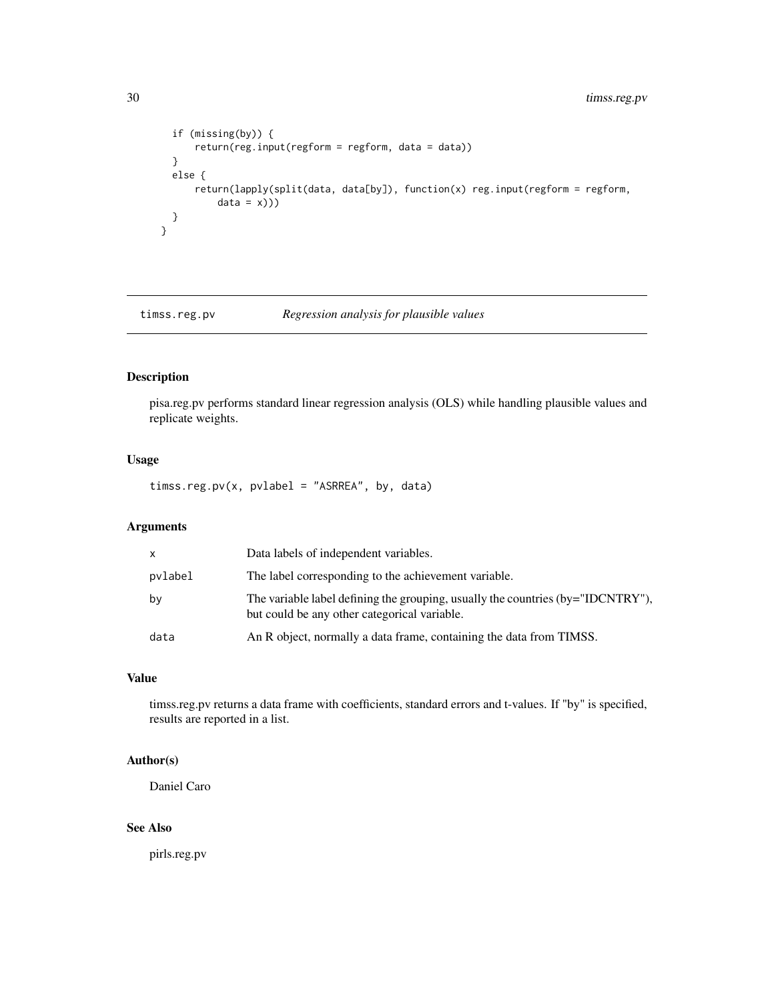```
if (missing(by)) {
     return(reg.input(regform = regform, data = data))
  }
 else {
      return(lapply(split(data, data[by]), function(x) reg.input(regform = regform,
         data = x))}
}
```
timss.reg.pv *Regression analysis for plausible values*

## Description

pisa.reg.pv performs standard linear regression analysis (OLS) while handling plausible values and replicate weights.

## Usage

timss.reg.pv(x, pvlabel = "ASRREA", by, data)

#### Arguments

| $\mathsf{x}$ | Data labels of independent variables.                                                                                           |
|--------------|---------------------------------------------------------------------------------------------------------------------------------|
| pvlabel      | The label corresponding to the achievement variable.                                                                            |
| by           | The variable label defining the grouping, usually the countries (by="IDCNTRY"),<br>but could be any other categorical variable. |
| data         | An R object, normally a data frame, containing the data from TIMSS.                                                             |

## Value

timss.reg.pv returns a data frame with coefficients, standard errors and t-values. If "by" is specified, results are reported in a list.

## Author(s)

Daniel Caro

## See Also

pirls.reg.pv

<span id="page-29-0"></span>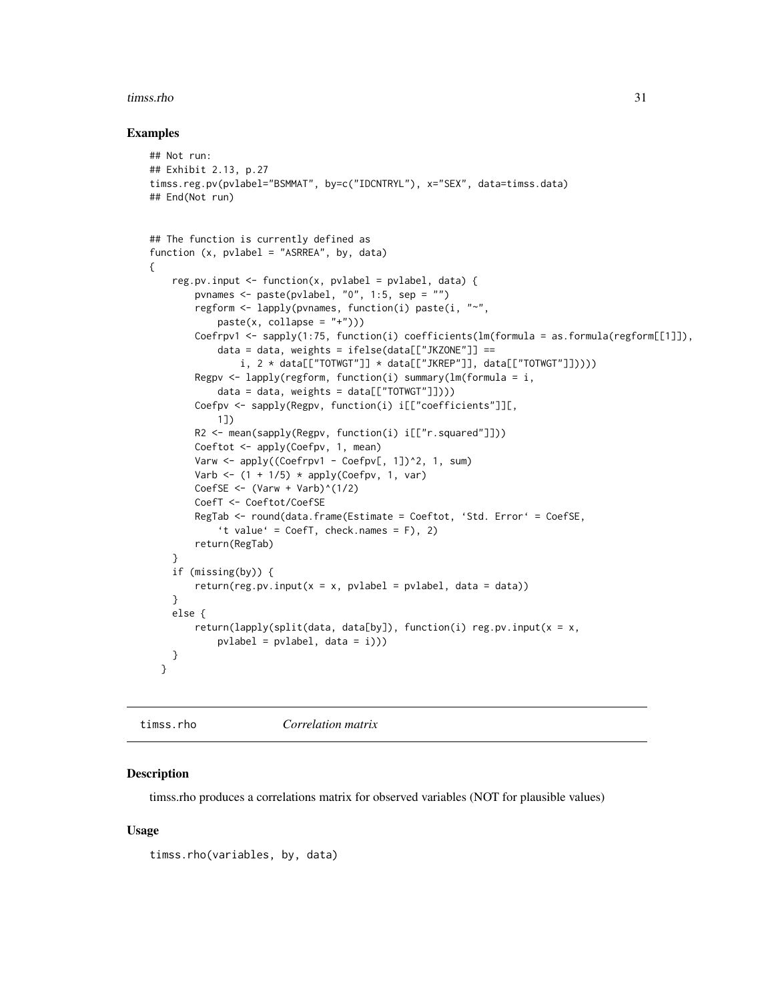#### <span id="page-30-0"></span>timss.rho 31

### Examples

```
## Not run:
## Exhibit 2.13, p.27
timss.reg.pv(pvlabel="BSMMAT", by=c("IDCNTRYL"), x="SEX", data=timss.data)
## End(Not run)
## The function is currently defined as
function (x, pvlabel = "ASRREA", by, data)
{
    reg.pv.input <- function(x, pvlabel = pvlabel, data) {
        pvnames <- paste(pvlabel, "0", 1:5, sep = "")
        regform <- lapply(pvnames, function(i) paste(i, "~",
            paste(x, collapse = "+''))Coefrpv1 <- sapply(1:75, function(i) coefficients(lm(formula = as.formula(regform[[1]]),
            data = data, weights = ifelse(data[["JKZONE"]] ==
                i, 2 * data[["TOTWGT"]] * data[["JKREF"]], data[["TOTWGT"]]))Regpv \leq lapply(regform, function(i) summary(lm(formula = i,
            data = data, weights = data[["TOTWGT"]]))Coefpv <- sapply(Regpv, function(i) i[["coefficients"]][,
            1])
        R2 <- mean(sapply(Regpv, function(i) i[["r.squared"]]))
        Coeftot <- apply(Coefpv, 1, mean)
        Varw \leq apply((Coefrpv1 - Coefpv[, 1])^2, 1, sum)
        Varb \leq (1 + 1/5) \star apply(Coefpv, 1, var)
        CoefSE <- (Varw + Varb)^(1/2)CoefT <- Coeftot/CoefSE
        RegTab <- round(data.frame(Estimate = Coeftot, 'Std. Error' = CoefSE,
            't value' = CoefT, check.names = F), 2)
        return(RegTab)
    }
    if (missing(by)) {
        return(res.py.input(x = x, pvlabel = pvlabel, data = data))}
    else {
        return(lapply(split(data, data[by]), function(i) reg.pv.input(x = x,
            pvlabel = pvlabel, data = i))}
  }
```
timss.rho *Correlation matrix*

## **Description**

timss.rho produces a correlations matrix for observed variables (NOT for plausible values)

#### Usage

```
timss.rho(variables, by, data)
```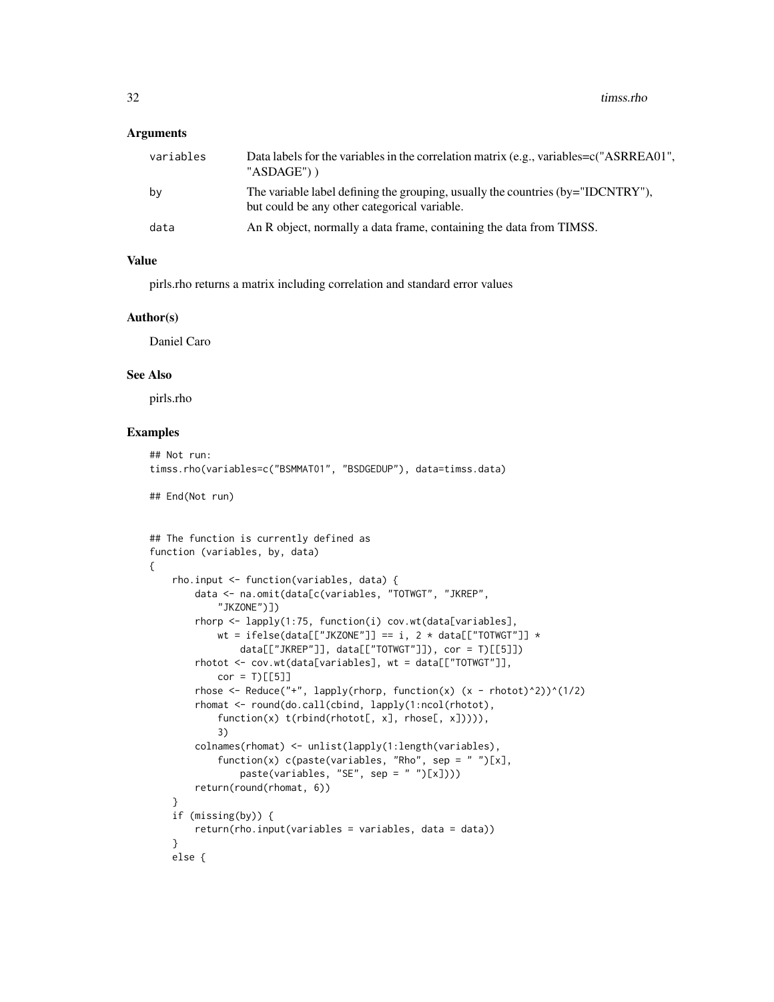## **Arguments**

| variables | Data labels for the variables in the correlation matrix (e.g., variables= $c$ ("ASRREA01",<br>"ASDAGE")                             |
|-----------|-------------------------------------------------------------------------------------------------------------------------------------|
| by        | The variable label defining the grouping, usually the countries $(by="IDCNTRY'')$ ,<br>but could be any other categorical variable. |
| data      | An R object, normally a data frame, containing the data from TIMSS.                                                                 |

## Value

pirls.rho returns a matrix including correlation and standard error values

#### Author(s)

Daniel Caro

## See Also

pirls.rho

```
## Not run:
timss.rho(variables=c("BSMMAT01", "BSDGEDUP"), data=timss.data)
## End(Not run)
## The function is currently defined as
function (variables, by, data)
{
    rho.input <- function(variables, data) {
       data <- na.omit(data[c(variables, "TOTWGT", "JKREP",
            "JKZONE")])
       rhorp <- lapply(1:75, function(i) cov.wt(data[variables],
            wt = ifelse(data[["JKZONE"]] == i, 2 * data[["TOTWGT"]] *data[["JKREP"]], data[["TOTWGT"]]), cor = T)[[5]])
       rhotot <- cov.wt(data[variables], wt = data[["TOTWGT"]],
            cor = T)[[5]]rhose \leq Reduce("+", lapply(rhorp, function(x) (x - rhotot)^2))^(1/2)
       rhomat <- round(do.call(cbind, lapply(1:ncol(rhotot),
            function(x) t(rbind(rhotot[, x], rhose[, x])))),
            3)
       colnames(rhomat) <- unlist(lapply(1:length(variables),
            function(x) c(paste(variables, "Rho", sep = " ")[x],
                paste(variables, "SE", sep = " ")[x])))
       return(round(rhomat, 6))
    }
    if (missing(by)) {
       return(rho.input(variables = variables, data = data))
    }
   else {
```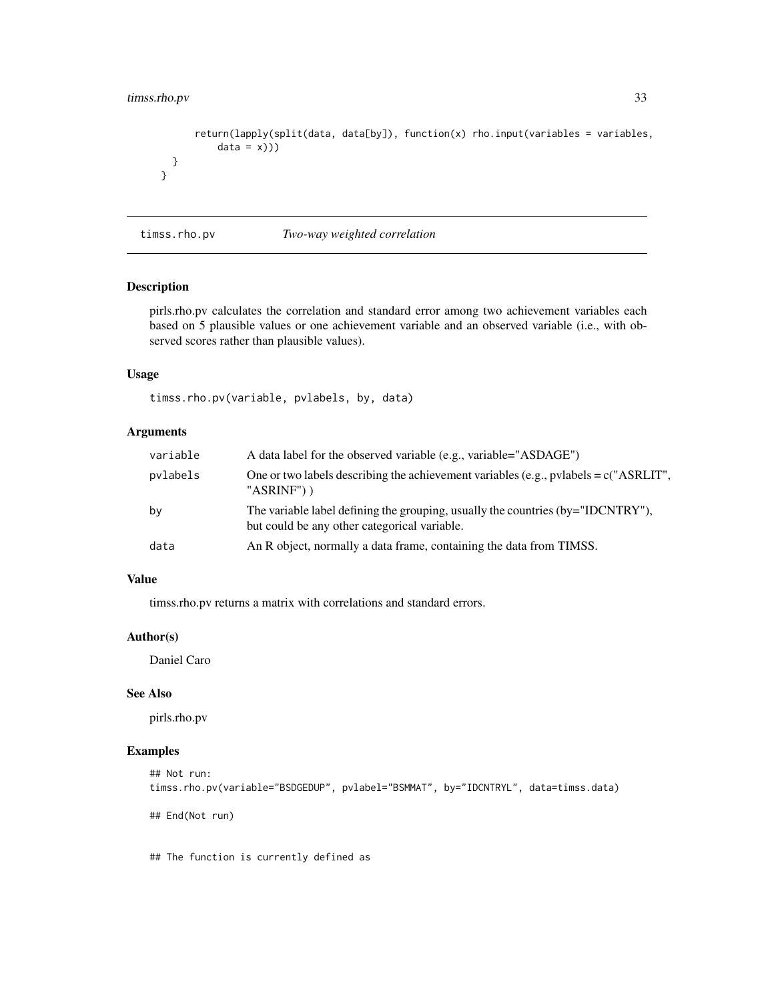## <span id="page-32-0"></span>timss.rho.pv 33

}

```
return(lapply(split(data, data[by]), function(x) rho.input(variables = variables,
        data = x))}
```
timss.rho.pv *Two-way weighted correlation*

## Description

pirls.rho.pv calculates the correlation and standard error among two achievement variables each based on 5 plausible values or one achievement variable and an observed variable (i.e., with observed scores rather than plausible values).

## Usage

timss.rho.pv(variable, pvlabels, by, data)

## Arguments

| variable | A data label for the observed variable (e.g., variable="ASDAGE")                                                                |
|----------|---------------------------------------------------------------------------------------------------------------------------------|
| pvlabels | One or two labels describing the achievement variables (e.g., pvlabels = $c$ ("ASRLIT",<br>" $ASRINF$ ") )                      |
| by       | The variable label defining the grouping, usually the countries (by="IDCNTRY"),<br>but could be any other categorical variable. |
| data     | An R object, normally a data frame, containing the data from TIMSS.                                                             |

### Value

timss.rho.pv returns a matrix with correlations and standard errors.

## Author(s)

Daniel Caro

#### See Also

pirls.rho.pv

## Examples

```
## Not run:
timss.rho.pv(variable="BSDGEDUP", pvlabel="BSMMAT", by="IDCNTRYL", data=timss.data)
```
## End(Not run)

## The function is currently defined as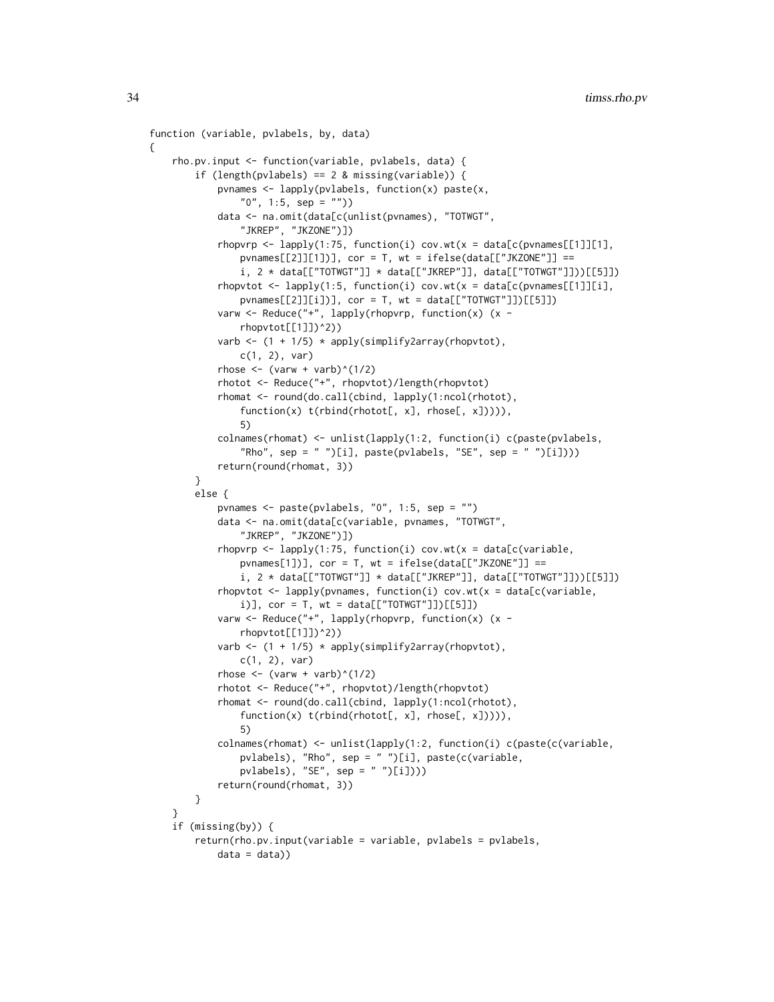```
function (variable, pvlabels, by, data)
{
    rho.pv.input <- function(variable, pvlabels, data) {
        if (length(pvlabels) == 2 & missing(variable)) {
            pvnames <- lapply(pvlabels, function(x) paste(x,
                "0", 1:5, sep = "")data <- na.omit(data[c(unlist(pvnames), "TOTWGT",
                "JKREP", "JKZONE")])
            rhopvrp \leq lapply(1:75, function(i) cov.wt(x = data[c(pvnames[[1]][1],
                pvnames[[2]][1])], cor = T, wt = ifelse(data[["JKZONE"]] ==
                i, 2 * data[["TOTWGT"]] * data[["JKREP"]], data[["TOTWGT"]]))[[5]])
            rhopvtot \leq lapply(1:5, function(i) cov.wt(x = data[c(pvnames[[1]][i],
                pvnames[[2]][i])], cor = T, wt = data[["TOTWGT"]])[[5]])
            varw <- Reduce("+", lapply(rhopvrp, function(x) (x -
                rhopvtot[[1]])^2))
            varb \leftarrow (1 + 1/5) \star apply(simplify2array(rhopvtot),
                c(1, 2), var)
            rhose \leq (varw + varb)\land(1/2)
            rhotot <- Reduce("+", rhopvtot)/length(rhopvtot)
            rhomat <- round(do.call(cbind, lapply(1:ncol(rhotot),
                function(x) t(rbind(rhotot[, x], rhose[, x])))),
                5)
            colnames(rhomat) <- unlist(lapply(1:2, function(i) c(paste(pvlabels,
                "Rho", sep = " ")[i], paste(pvlabels, "SE", sep = " ")[i])))
            return(round(rhomat, 3))
        }
        else {
            pvnames <- paste(pvlabels, "0", 1:5, sep = "")
            data <- na.omit(data[c(variable, pvnames, "TOTWGT",
                "JKREP", "JKZONE")])
            rhopvrp <- lapply(1:75, function(i) cov.wt(x = data[c(variable,
                pvnames[1])], cor = T, wt = ifelse(data[["JKZONE"]] ==i, 2 * data[['TOTWGT"]] * data[['JKREF"]], data[['TOTWGT"]]))[[5]]]rhopvtot \leq lapply(pvnames, function(i) cov.wt(x = data[c(variable,
                i)], cor = T, wt = data[["TOTWGT"]][[5]]]varw <- Reduce("+", lapply(rhopvrp, function(x) (x -
                rhopvtot[[1]])^2))
            varb \leftarrow (1 + 1/5) * apply(simplify2array(rhopvtot),
                c(1, 2), var)
            rhose \leftarrow (varw + varb)^(1/2)
            rhotot <- Reduce("+", rhopvtot)/length(rhopvtot)
            rhomat <- round(do.call(cbind, lapply(1:ncol(rhotot),
                function(x) t(rbind(rhotot[, x], rhose[, x])))),
                5)
            colnames(rhomat) <- unlist(lapply(1:2, function(i) c(paste(c(variable,
                pvlabels), "Rho", sep = " ")[i], paste(c(variable,
                pvlabels), "SE", sep = " ")[i])))
            return(round(rhomat, 3))
        }
    \lambdaif (missing(by)) {
        return(rho.pv.input(variable = variable, pvlabels = pvlabels,
            data = data)
```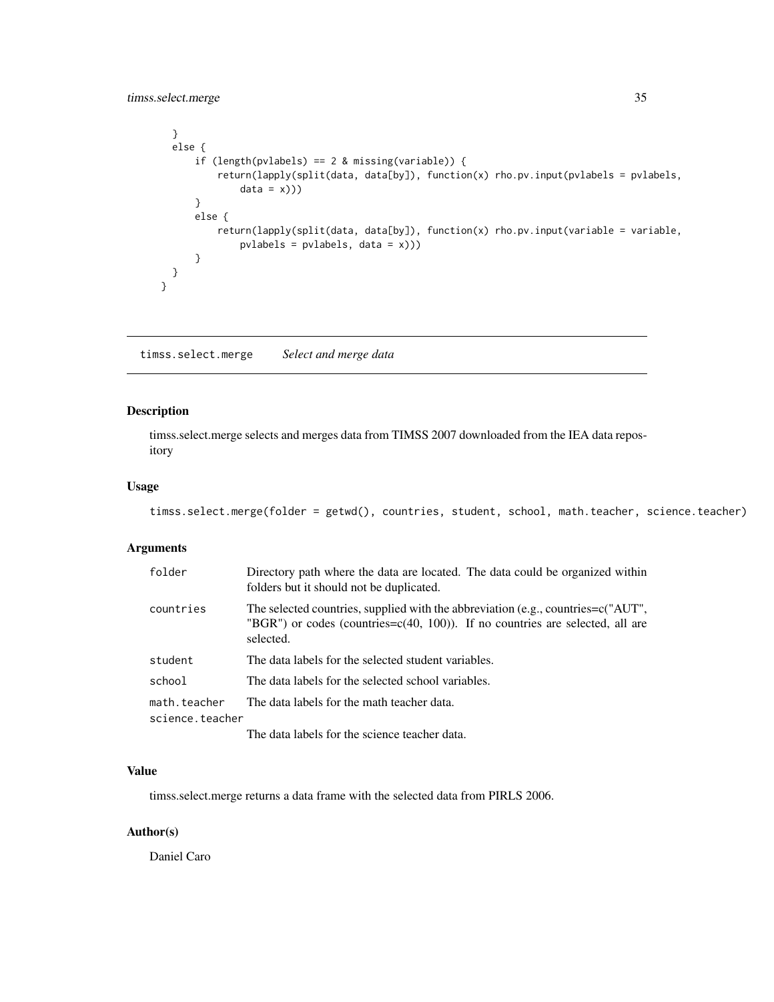## <span id="page-34-0"></span>timss.select.merge 35

```
}
 else {
      if (length(pvlabels) == 2 & missing(variable)) {
          return(lapply(split(data, data[by]), function(x) rho.pv.input(pvlabels = pvlabels,
             data = x))}
      else {
          return(lapply(split(data, data[by]), function(x) rho.pv.input(variable = variable,
              pvlabels = pvlabels, data = x)))
      }
 }
}
```
timss.select.merge *Select and merge data*

## Description

timss.select.merge selects and merges data from TIMSS 2007 downloaded from the IEA data repository

## Usage

```
timss.select.merge(folder = getwd(), countries, student, school, math.teacher, science.teacher)
```
### Arguments

| folder          | Directory path where the data are located. The data could be organized within<br>folders but it should not be duplicated.                                                             |
|-----------------|---------------------------------------------------------------------------------------------------------------------------------------------------------------------------------------|
| countries       | The selected countries, supplied with the abbreviation (e.g., countries= $c("AUT",$<br>"BGR") or codes (countries= $c(40, 100)$ ). If no countries are selected, all are<br>selected. |
| student         | The data labels for the selected student variables.                                                                                                                                   |
| school          | The data labels for the selected school variables.                                                                                                                                    |
| math.teacher    | The data labels for the math teacher data.                                                                                                                                            |
| science.teacher |                                                                                                                                                                                       |
|                 | The data labels for the science teacher data.                                                                                                                                         |

## Value

timss.select.merge returns a data frame with the selected data from PIRLS 2006.

## Author(s)

Daniel Caro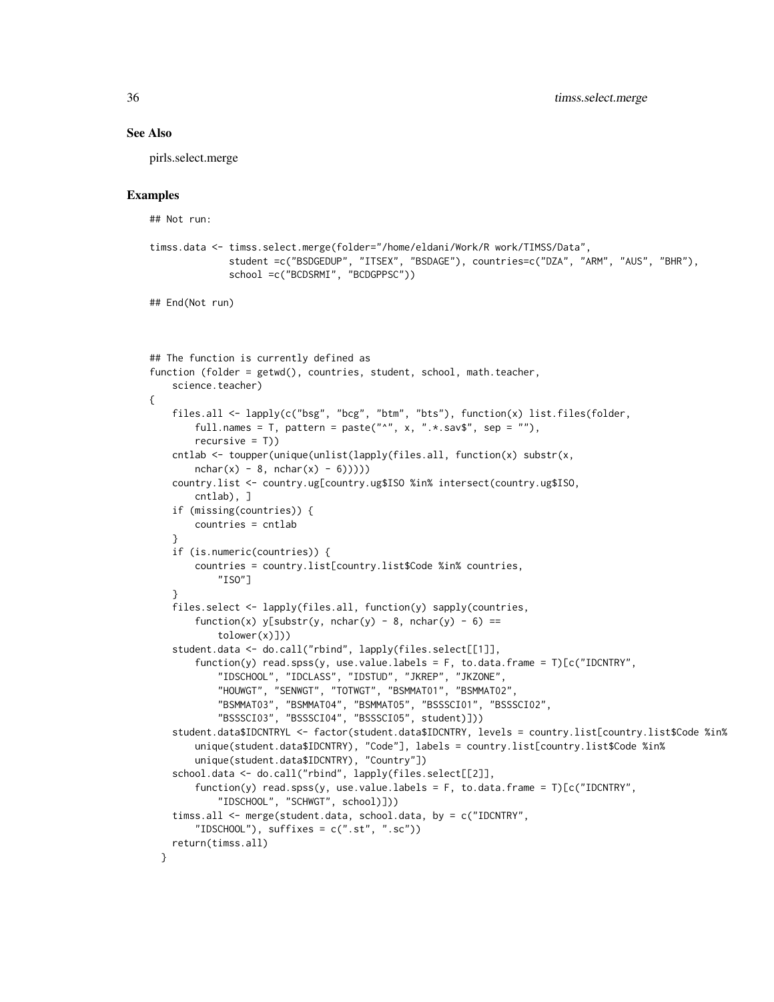#### See Also

pirls.select.merge

```
## Not run:
timss.data <- timss.select.merge(folder="/home/eldani/Work/R work/TIMSS/Data",
              student =c("BSDGEDUP", "ITSEX", "BSDAGE"), countries=c("DZA", "ARM", "AUS", "BHR"),
              school =c("BCDSRMI", "BCDGPPSC"))
## End(Not run)
## The function is currently defined as
function (folder = getwd(), countries, student, school, math.teacher,
    science.teacher)
{
    files.all <- lapply(c("bsg", "bcg", "btm", "bts"), function(x) list.files(folder,
       full.names = T, pattern = paste("^n", x, ".*.sav$", sep = ""),
       recursively = T()cntlab <- toupper(unique(unlist(lapply(files.all, function(x) substr(x,
       nchar(x) - 8, nchar(x) - 6))))
    country.list <- country.ug[country.ug$ISO %in% intersect(country.ug$ISO,
       cntlab), ]
    if (missing(countries)) {
       countries = cntlab
    }
    if (is.numeric(countries)) {
       countries = country.list[country.list$Code %in% countries,
            "ISO"]
    }
    files.select <- lapply(files.all, function(y) sapply(countries,
        function(x) y[substr(y, nchar(y) - 8, nchar(y) - 6) ==tolower(x)]))
    student.data <- do.call("rbind", lapply(files.select[[1]],
        function(y) read.spss(y, use.value.labels = F, to.data.frame = T)[c("IDCNTRY","IDSCHOOL", "IDCLASS", "IDSTUD", "JKREP", "JKZONE",
            "HOUWGT", "SENWGT", "TOTWGT", "BSMMAT01", "BSMMAT02",
            "BSMMAT03", "BSMMAT04", "BSMMAT05", "BSSSCI01", "BSSSCI02",
            "BSSSCI03", "BSSSCI04", "BSSSCI05", student)]))
    student.data$IDCNTRYL <- factor(student.data$IDCNTRY, levels = country.list[country.list$Code %in%
       unique(student.data$IDCNTRY), "Code"], labels = country.list[country.list$Code %in%
       unique(student.data$IDCNTRY), "Country"])
    school.data <- do.call("rbind", lapply(files.select[[2]],
        function(y) read.spss(y, use.value.labels = F, to.data.frame = T)[c("IDCNTRY","IDSCHOOL", "SCHWGT", school)]))
    timss.all <- merge(student.data, school.data, by = c("IDCNTRY",
        "IDSCHOOL"), suffixes = c(".st", ".sc"))return(timss.all)
 }
```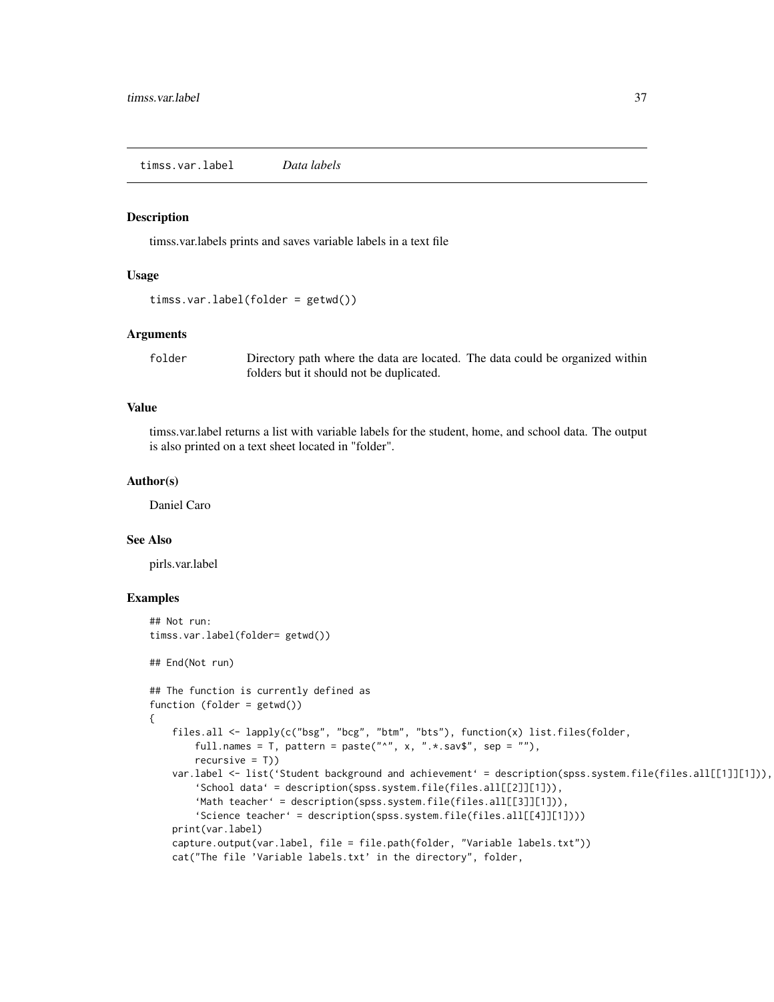<span id="page-36-0"></span>timss.var.label *Data labels*

#### **Description**

timss.var.labels prints and saves variable labels in a text file

## Usage

```
timss.var.label(folder = getwd())
```
## Arguments

folder Directory path where the data are located. The data could be organized within folders but it should not be duplicated.

## Value

timss.var.label returns a list with variable labels for the student, home, and school data. The output is also printed on a text sheet located in "folder".

#### Author(s)

Daniel Caro

## See Also

pirls.var.label

```
## Not run:
timss.var.label(folder= getwd())
## End(Not run)
## The function is currently defined as
function (folder = getwd())
{
    files.all <- lapply(c("bsg", "bcg", "btm", "bts"), function(x) list.files(folder,
       full.names = T, pattern = paste("^", x, ".*.sav$", sep = ""),
       recursive = T))
    var.label <- list('Student background and achievement' = description(spss.system.file(files.all[[1]][1])),
        'School data' = description(spss.system.file(files.all[[2]][1])),
        'Math teacher' = description(spss.system.file(files.all[[3]][1])),
        'Science teacher' = description(spss.system.file(files.all[[4]][1])))
   print(var.label)
    capture.output(var.label, file = file.path(folder, "Variable labels.txt"))
    cat("The file 'Variable labels.txt' in the directory", folder,
```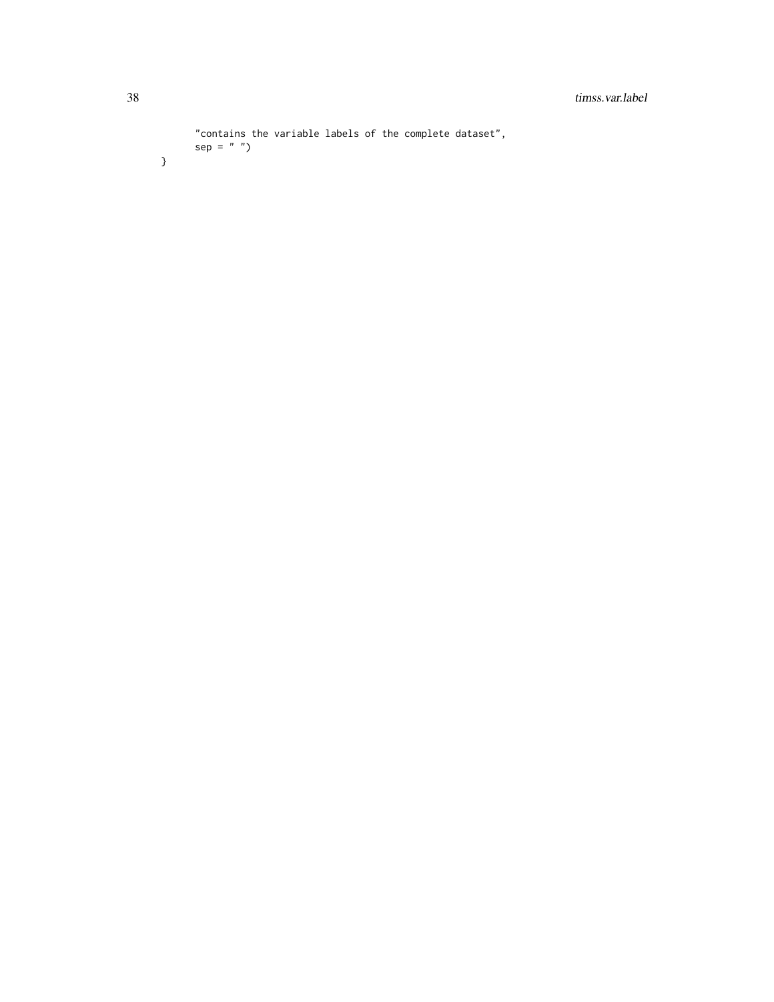```
"contains the variable labels of the complete dataset",
sep = " ")
```
}